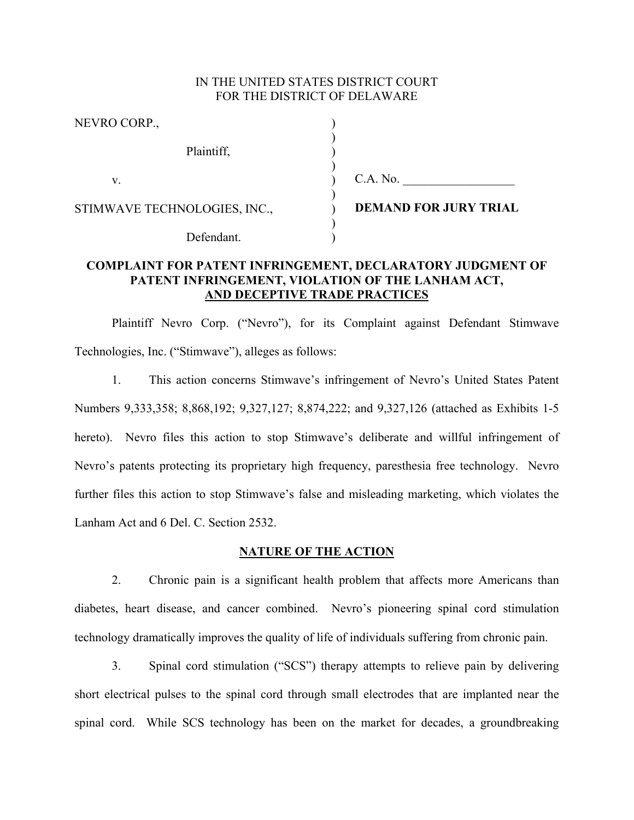# IN THE UNITED STATES DISTRICT COURT FOR THE DISTRICT OF DELAWARE

| NEVRO CORP.,                 |                              |
|------------------------------|------------------------------|
| Plaintiff,                   |                              |
| V.                           | C.A. No.                     |
| STIMWAVE TECHNOLOGIES, INC., | <b>DEMAND FOR JURY TRIAL</b> |
| Defendant.                   |                              |

# **COMPLAINT FOR PATENT INFRINGEMENT, DECLARATORY JUDGMENT OF PATENT INFRINGEMENT, VIOLATION OF THE LANHAM ACT, AND DECEPTIVE TRADE PRACTICES**

Plaintiff Nevro Corp. ("Nevro"), for its Complaint against Defendant Stimwave Technologies, Inc. ("Stimwave"), alleges as follows:

1. This action concerns Stimwave's infringement of Nevro's United States Patent Numbers 9,333,358; 8,868,192; 9,327,127; 8,874,222; and 9,327,126 (attached as Exhibits 1-5 hereto). Nevro files this action to stop Stimwave's deliberate and willful infringement of Nevro's patents protecting its proprietary high frequency, paresthesia free technology. Nevro further files this action to stop Stimwave's false and misleading marketing, which violates the Lanham Act and 6 Del. C. Section 2532.

## **NATURE OF THE ACTION**

2. Chronic pain is a significant health problem that affects more Americans than diabetes, heart disease, and cancer combined. Nevro's pioneering spinal cord stimulation technology dramatically improves the quality of life of individuals suffering from chronic pain.

3. Spinal cord stimulation ("SCS") therapy attempts to relieve pain by delivering short electrical pulses to the spinal cord through small electrodes that are implanted near the spinal cord. While SCS technology has been on the market for decades, a groundbreaking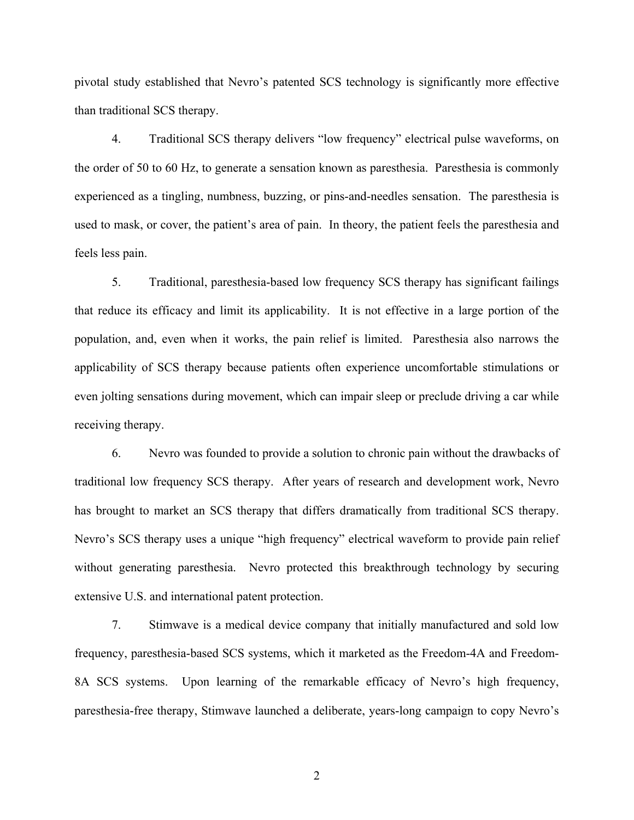pivotal study established that Nevro's patented SCS technology is significantly more effective than traditional SCS therapy.

4. Traditional SCS therapy delivers "low frequency" electrical pulse waveforms, on the order of 50 to 60 Hz, to generate a sensation known as paresthesia. Paresthesia is commonly experienced as a tingling, numbness, buzzing, or pins-and-needles sensation. The paresthesia is used to mask, or cover, the patient's area of pain. In theory, the patient feels the paresthesia and feels less pain.

5. Traditional, paresthesia-based low frequency SCS therapy has significant failings that reduce its efficacy and limit its applicability. It is not effective in a large portion of the population, and, even when it works, the pain relief is limited. Paresthesia also narrows the applicability of SCS therapy because patients often experience uncomfortable stimulations or even jolting sensations during movement, which can impair sleep or preclude driving a car while receiving therapy.

6. Nevro was founded to provide a solution to chronic pain without the drawbacks of traditional low frequency SCS therapy. After years of research and development work, Nevro has brought to market an SCS therapy that differs dramatically from traditional SCS therapy. Nevro's SCS therapy uses a unique "high frequency" electrical waveform to provide pain relief without generating paresthesia. Nevro protected this breakthrough technology by securing extensive U.S. and international patent protection.

7. Stimwave is a medical device company that initially manufactured and sold low frequency, paresthesia-based SCS systems, which it marketed as the Freedom-4A and Freedom-8A SCS systems. Upon learning of the remarkable efficacy of Nevro's high frequency, paresthesia-free therapy, Stimwave launched a deliberate, years-long campaign to copy Nevro's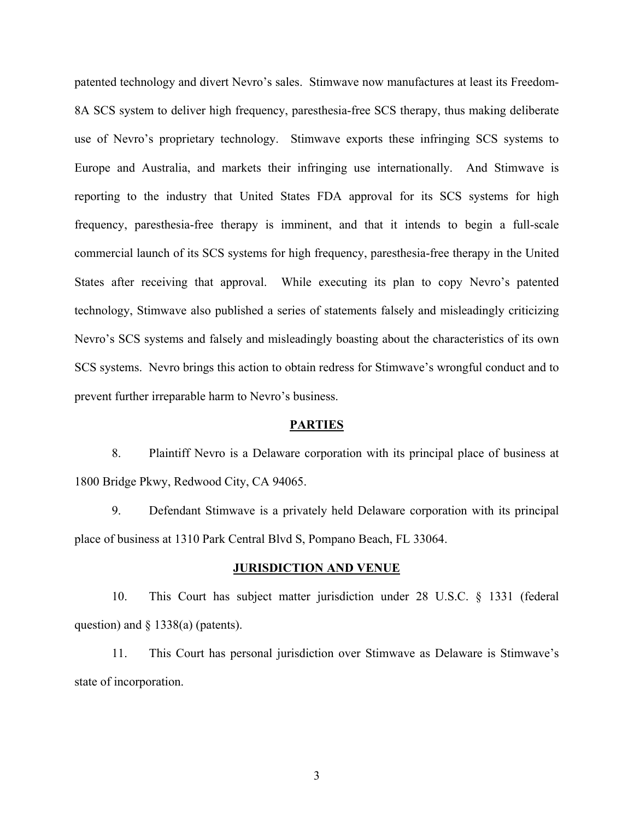patented technology and divert Nevro's sales. Stimwave now manufactures at least its Freedom-8A SCS system to deliver high frequency, paresthesia-free SCS therapy, thus making deliberate use of Nevro's proprietary technology. Stimwave exports these infringing SCS systems to Europe and Australia, and markets their infringing use internationally. And Stimwave is reporting to the industry that United States FDA approval for its SCS systems for high frequency, paresthesia-free therapy is imminent, and that it intends to begin a full-scale commercial launch of its SCS systems for high frequency, paresthesia-free therapy in the United States after receiving that approval. While executing its plan to copy Nevro's patented technology, Stimwave also published a series of statements falsely and misleadingly criticizing Nevro's SCS systems and falsely and misleadingly boasting about the characteristics of its own SCS systems. Nevro brings this action to obtain redress for Stimwave's wrongful conduct and to prevent further irreparable harm to Nevro's business.

#### **PARTIES**

8. Plaintiff Nevro is a Delaware corporation with its principal place of business at 1800 Bridge Pkwy, Redwood City, CA 94065.

9. Defendant Stimwave is a privately held Delaware corporation with its principal place of business at 1310 Park Central Blvd S, Pompano Beach, FL 33064.

### **JURISDICTION AND VENUE**

10. This Court has subject matter jurisdiction under 28 U.S.C. § 1331 (federal question) and § 1338(a) (patents).

11. This Court has personal jurisdiction over Stimwave as Delaware is Stimwave's state of incorporation.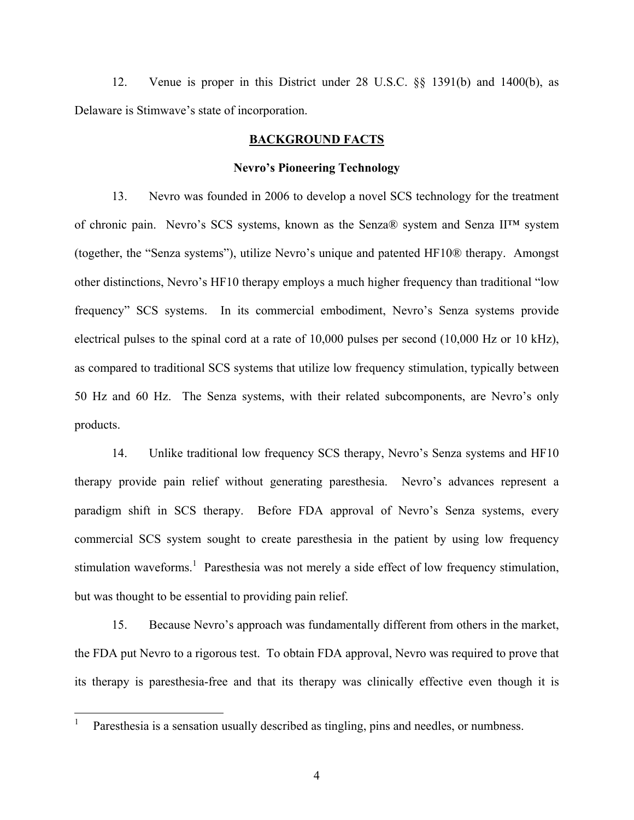12. Venue is proper in this District under 28 U.S.C. §§ 1391(b) and 1400(b), as Delaware is Stimwave's state of incorporation.

# **BACKGROUND FACTS**

### **Nevro's Pioneering Technology**

13. Nevro was founded in 2006 to develop a novel SCS technology for the treatment of chronic pain. Nevro's SCS systems, known as the Senza® system and Senza II™ system (together, the "Senza systems"), utilize Nevro's unique and patented HF10® therapy. Amongst other distinctions, Nevro's HF10 therapy employs a much higher frequency than traditional "low frequency" SCS systems. In its commercial embodiment, Nevro's Senza systems provide electrical pulses to the spinal cord at a rate of 10,000 pulses per second (10,000 Hz or 10 kHz), as compared to traditional SCS systems that utilize low frequency stimulation, typically between 50 Hz and 60 Hz. The Senza systems, with their related subcomponents, are Nevro's only products.

14. Unlike traditional low frequency SCS therapy, Nevro's Senza systems and HF10 therapy provide pain relief without generating paresthesia. Nevro's advances represent a paradigm shift in SCS therapy. Before FDA approval of Nevro's Senza systems, every commercial SCS system sought to create paresthesia in the patient by using low frequency stimulation waveforms.<sup>1</sup> Paresthesia was not merely a side effect of low frequency stimulation, but was thought to be essential to providing pain relief.

15. Because Nevro's approach was fundamentally different from others in the market, the FDA put Nevro to a rigorous test. To obtain FDA approval, Nevro was required to prove that its therapy is paresthesia-free and that its therapy was clinically effective even though it is

 $\overline{a}$ 

<sup>1</sup> Paresthesia is a sensation usually described as tingling, pins and needles, or numbness.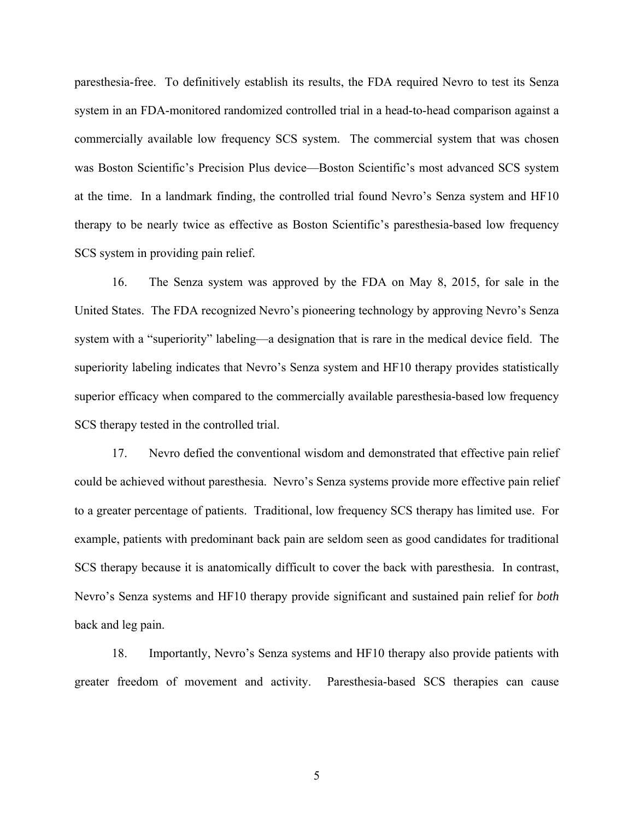paresthesia-free. To definitively establish its results, the FDA required Nevro to test its Senza system in an FDA-monitored randomized controlled trial in a head-to-head comparison against a commercially available low frequency SCS system. The commercial system that was chosen was Boston Scientific's Precision Plus device—Boston Scientific's most advanced SCS system at the time. In a landmark finding, the controlled trial found Nevro's Senza system and HF10 therapy to be nearly twice as effective as Boston Scientific's paresthesia-based low frequency SCS system in providing pain relief.

16. The Senza system was approved by the FDA on May 8, 2015, for sale in the United States. The FDA recognized Nevro's pioneering technology by approving Nevro's Senza system with a "superiority" labeling—a designation that is rare in the medical device field. The superiority labeling indicates that Nevro's Senza system and HF10 therapy provides statistically superior efficacy when compared to the commercially available paresthesia-based low frequency SCS therapy tested in the controlled trial.

17. Nevro defied the conventional wisdom and demonstrated that effective pain relief could be achieved without paresthesia. Nevro's Senza systems provide more effective pain relief to a greater percentage of patients. Traditional, low frequency SCS therapy has limited use. For example, patients with predominant back pain are seldom seen as good candidates for traditional SCS therapy because it is anatomically difficult to cover the back with paresthesia. In contrast, Nevro's Senza systems and HF10 therapy provide significant and sustained pain relief for *both* back and leg pain.

18. Importantly, Nevro's Senza systems and HF10 therapy also provide patients with greater freedom of movement and activity. Paresthesia-based SCS therapies can cause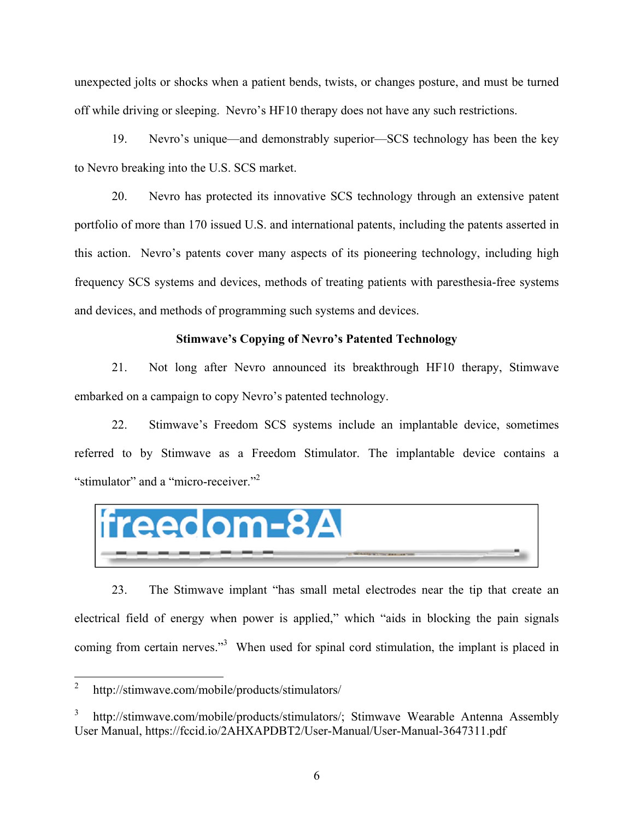unexpected jolts or shocks when a patient bends, twists, or changes posture, and must be turned off while driving or sleeping. Nevro's HF10 therapy does not have any such restrictions.

19. Nevro's unique—and demonstrably superior—SCS technology has been the key to Nevro breaking into the U.S. SCS market.

20. Nevro has protected its innovative SCS technology through an extensive patent portfolio of more than 170 issued U.S. and international patents, including the patents asserted in this action. Nevro's patents cover many aspects of its pioneering technology, including high frequency SCS systems and devices, methods of treating patients with paresthesia-free systems and devices, and methods of programming such systems and devices.

# **Stimwave's Copying of Nevro's Patented Technology**

21. Not long after Nevro announced its breakthrough HF10 therapy, Stimwave embarked on a campaign to copy Nevro's patented technology.

22. Stimwave's Freedom SCS systems include an implantable device, sometimes referred to by Stimwave as a Freedom Stimulator. The implantable device contains a "stimulator" and a "micro-receiver."<sup>2</sup>



23. The Stimwave implant "has small metal electrodes near the tip that create an electrical field of energy when power is applied," which "aids in blocking the pain signals coming from certain nerves."<sup>3</sup> When used for spinal cord stimulation, the implant is placed in

<u>.</u>

<sup>2</sup> http://stimwave.com/mobile/products/stimulators/

<sup>3</sup> http://stimwave.com/mobile/products/stimulators/; Stimwave Wearable Antenna Assembly User Manual, https://fccid.io/2AHXAPDBT2/User-Manual/User-Manual-3647311.pdf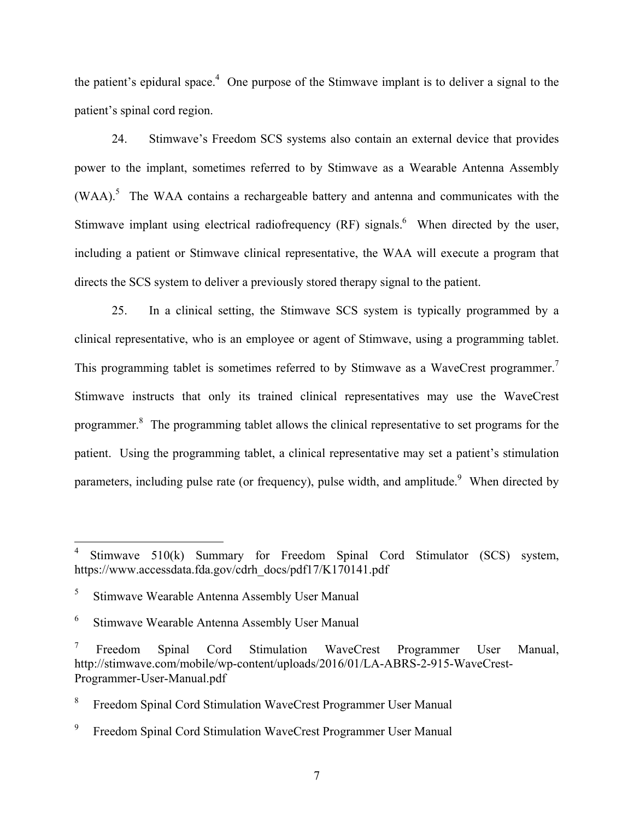the patient's epidural space.<sup>4</sup> One purpose of the Stimwave implant is to deliver a signal to the patient's spinal cord region.

24. Stimwave's Freedom SCS systems also contain an external device that provides power to the implant, sometimes referred to by Stimwave as a Wearable Antenna Assembly  $(WAA)$ .<sup>5</sup> The WAA contains a rechargeable battery and antenna and communicates with the Stimwave implant using electrical radiofrequency  $(RF)$  signals.<sup>6</sup> When directed by the user, including a patient or Stimwave clinical representative, the WAA will execute a program that directs the SCS system to deliver a previously stored therapy signal to the patient.

25. In a clinical setting, the Stimwave SCS system is typically programmed by a clinical representative, who is an employee or agent of Stimwave, using a programming tablet. This programming tablet is sometimes referred to by Stimwave as a WaveCrest programmer.<sup>7</sup> Stimwave instructs that only its trained clinical representatives may use the WaveCrest programmer.<sup>8</sup> The programming tablet allows the clinical representative to set programs for the patient. Using the programming tablet, a clinical representative may set a patient's stimulation parameters, including pulse rate (or frequency), pulse width, and amplitude. When directed by

 $\overline{a}$ 

<sup>4</sup> Stimwave 510(k) Summary for Freedom Spinal Cord Stimulator (SCS) system, https://www.accessdata.fda.gov/cdrh\_docs/pdf17/K170141.pdf

<sup>5</sup> Stimwave Wearable Antenna Assembly User Manual

<sup>6</sup> Stimwave Wearable Antenna Assembly User Manual

<sup>7</sup> Freedom Spinal Cord Stimulation WaveCrest Programmer User Manual, http://stimwave.com/mobile/wp-content/uploads/2016/01/LA-ABRS-2-915-WaveCrest-Programmer-User-Manual.pdf

<sup>8</sup> Freedom Spinal Cord Stimulation WaveCrest Programmer User Manual

<sup>9</sup> Freedom Spinal Cord Stimulation WaveCrest Programmer User Manual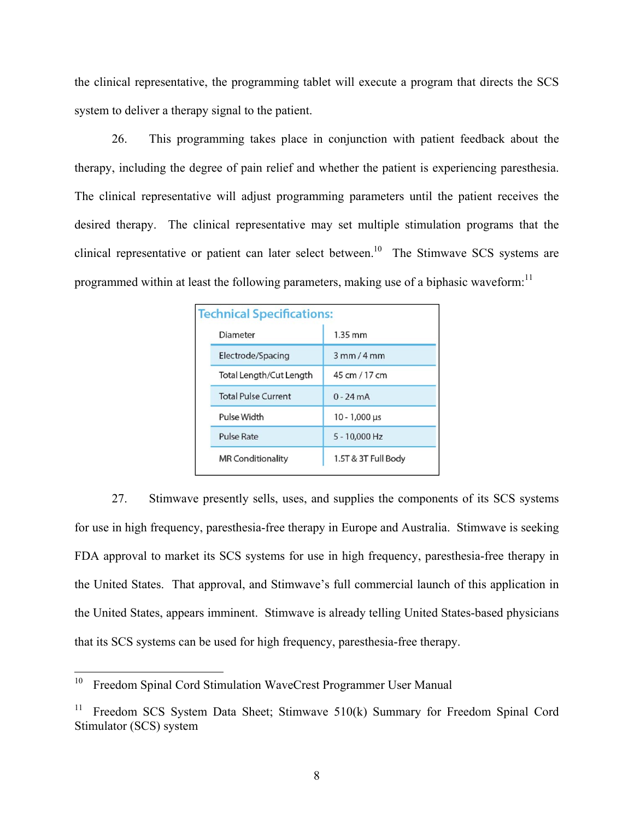the clinical representative, the programming tablet will execute a program that directs the SCS system to deliver a therapy signal to the patient.

26. This programming takes place in conjunction with patient feedback about the therapy, including the degree of pain relief and whether the patient is experiencing paresthesia. The clinical representative will adjust programming parameters until the patient receives the desired therapy. The clinical representative may set multiple stimulation programs that the clinical representative or patient can later select between.<sup>10</sup> The Stimwave SCS systems are programmed within at least the following parameters, making use of a biphasic waveform:

| <b>Technical Specifications:</b> |                      |
|----------------------------------|----------------------|
| Diameter                         | $1.35$ mm            |
| Electrode/Spacing                | $3$ mm $/4$ mm       |
| Total Length/Cut Length          | 45 cm / 17 cm        |
| <b>Total Pulse Current</b>       | $0 - 24mA$           |
| Pulse Width                      | $10 - 1,000 \,\mu s$ |
| <b>Pulse Rate</b>                | 5 - 10,000 Hz        |
| <b>MR Conditionality</b>         | 1.5T & 3T Full Body  |

27. Stimwave presently sells, uses, and supplies the components of its SCS systems for use in high frequency, paresthesia-free therapy in Europe and Australia. Stimwave is seeking FDA approval to market its SCS systems for use in high frequency, paresthesia-free therapy in the United States. That approval, and Stimwave's full commercial launch of this application in the United States, appears imminent. Stimwave is already telling United States-based physicians that its SCS systems can be used for high frequency, paresthesia-free therapy.

 $10\,$ Freedom Spinal Cord Stimulation WaveCrest Programmer User Manual

<sup>&</sup>lt;sup>11</sup> Freedom SCS System Data Sheet; Stimwave  $510(k)$  Summary for Freedom Spinal Cord Stimulator (SCS) system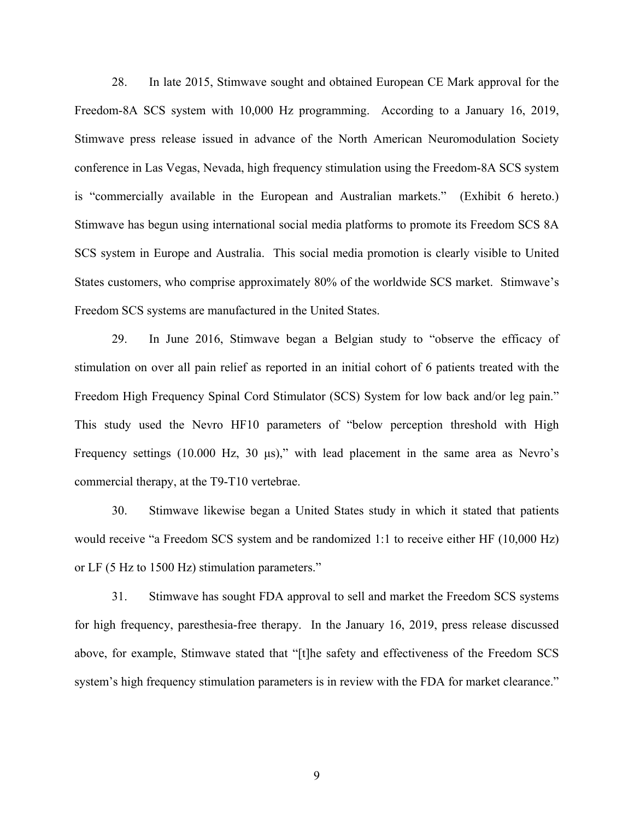28. In late 2015, Stimwave sought and obtained European CE Mark approval for the Freedom-8A SCS system with 10,000 Hz programming. According to a January 16, 2019, Stimwave press release issued in advance of the North American Neuromodulation Society conference in Las Vegas, Nevada, high frequency stimulation using the Freedom-8A SCS system is "commercially available in the European and Australian markets." (Exhibit 6 hereto.) Stimwave has begun using international social media platforms to promote its Freedom SCS 8A SCS system in Europe and Australia. This social media promotion is clearly visible to United States customers, who comprise approximately 80% of the worldwide SCS market. Stimwave's Freedom SCS systems are manufactured in the United States.

29. In June 2016, Stimwave began a Belgian study to "observe the efficacy of stimulation on over all pain relief as reported in an initial cohort of 6 patients treated with the Freedom High Frequency Spinal Cord Stimulator (SCS) System for low back and/or leg pain." This study used the Nevro HF10 parameters of "below perception threshold with High Frequency settings (10.000 Hz, 30 μs)," with lead placement in the same area as Nevro's commercial therapy, at the T9-T10 vertebrae.

30. Stimwave likewise began a United States study in which it stated that patients would receive "a Freedom SCS system and be randomized 1:1 to receive either HF (10,000 Hz) or LF (5 Hz to 1500 Hz) stimulation parameters."

31. Stimwave has sought FDA approval to sell and market the Freedom SCS systems for high frequency, paresthesia-free therapy. In the January 16, 2019, press release discussed above, for example, Stimwave stated that "[t]he safety and effectiveness of the Freedom SCS system's high frequency stimulation parameters is in review with the FDA for market clearance."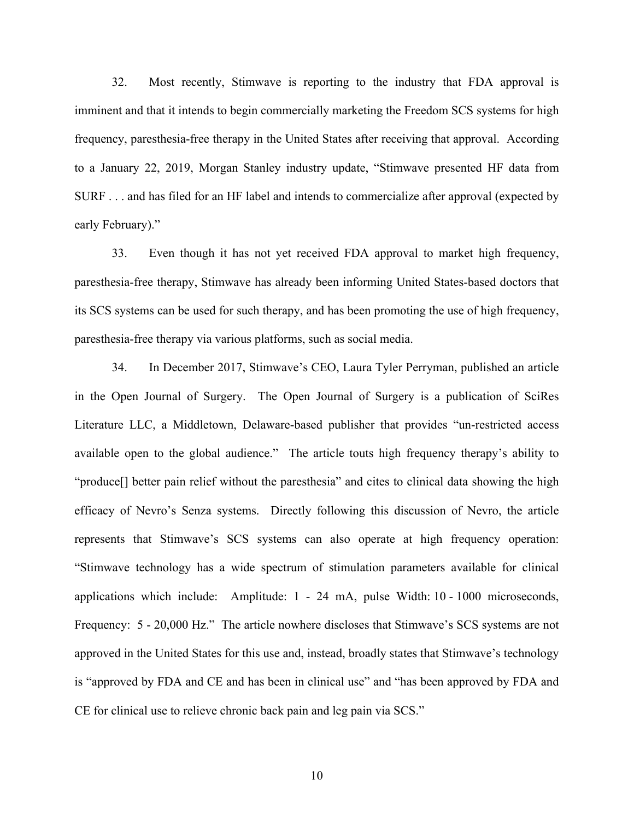32. Most recently, Stimwave is reporting to the industry that FDA approval is imminent and that it intends to begin commercially marketing the Freedom SCS systems for high frequency, paresthesia-free therapy in the United States after receiving that approval. According to a January 22, 2019, Morgan Stanley industry update, "Stimwave presented HF data from SURF . . . and has filed for an HF label and intends to commercialize after approval (expected by early February)."

33. Even though it has not yet received FDA approval to market high frequency, paresthesia-free therapy, Stimwave has already been informing United States-based doctors that its SCS systems can be used for such therapy, and has been promoting the use of high frequency, paresthesia-free therapy via various platforms, such as social media.

34. In December 2017, Stimwave's CEO, Laura Tyler Perryman, published an article in the Open Journal of Surgery. The Open Journal of Surgery is a publication of SciRes Literature LLC, a Middletown, Delaware-based publisher that provides "un-restricted access available open to the global audience." The article touts high frequency therapy's ability to "produce[] better pain relief without the paresthesia" and cites to clinical data showing the high efficacy of Nevro's Senza systems. Directly following this discussion of Nevro, the article represents that Stimwave's SCS systems can also operate at high frequency operation: "Stimwave technology has a wide spectrum of stimulation parameters available for clinical applications which include: Amplitude: 1 - 24 mA, pulse Width: 10 - 1000 microseconds, Frequency: 5 - 20,000 Hz." The article nowhere discloses that Stimwave's SCS systems are not approved in the United States for this use and, instead, broadly states that Stimwave's technology is "approved by FDA and CE and has been in clinical use" and "has been approved by FDA and CE for clinical use to relieve chronic back pain and leg pain via SCS."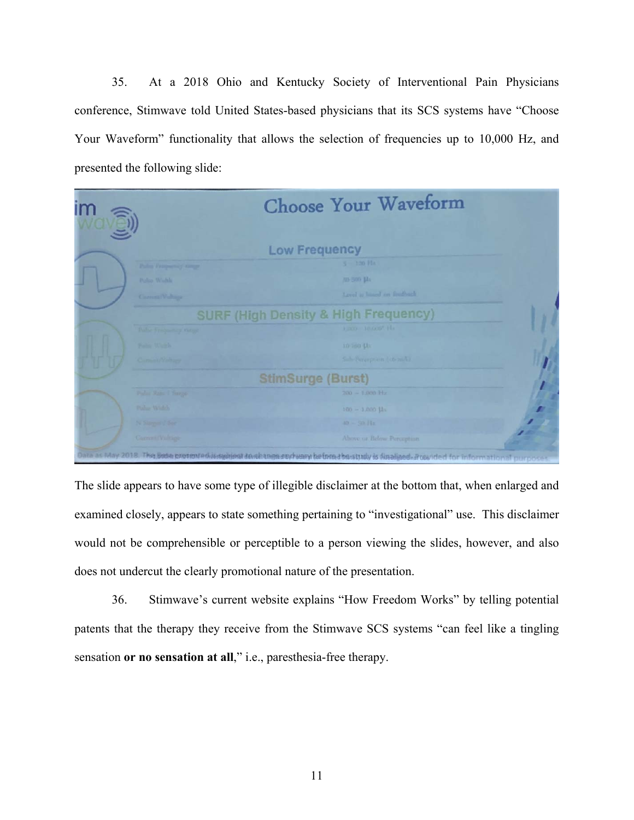35. At a 2018 Ohio and Kentucky Society of Interventional Pain Physicians conference, Stimwave told United States-based physicians that its SCS systems have "Choose Your Waveform" functionality that allows the selection of frequencies up to 10,000 Hz, and presented the following slide:

|                          | <b>Choose Your Waveform</b>                     |
|--------------------------|-------------------------------------------------|
|                          |                                                 |
|                          | <b>Low Frequency</b>                            |
| Palm Francesco of tange  | $S = 120$ Fla                                   |
| Police Wadda             | NO 300 Lbs                                      |
| Carrotti Voltaga         | Level is based on fordback                      |
|                          | <b>SURF (High Density &amp; High Frequency)</b> |
| Dallas Francourtey Garge | Francis Touton" Ha                              |
| Falls Wash               | in ion the                                      |
| Committeeway             | Sale Perception (46 m/c)                        |
|                          | <b>StimSurge (Burst)</b>                        |
| Pular Rats T Surge       | $200 - 1.000$ Hz                                |
| Poles Widels             | $100 - 1.000$ Hz                                |
| N. Singer / Sec          | $40 - 50$ Hz                                    |
| Garrent Valtage          | Above or Below Perception                       |

The slide appears to have some type of illegible disclaimer at the bottom that, when enlarged and examined closely, appears to state something pertaining to "investigational" use. This disclaimer would not be comprehensible or perceptible to a person viewing the slides, however, and also does not undercut the clearly promotional nature of the presentation.

36. Stimwave's current website explains "How Freedom Works" by telling potential patents that the therapy they receive from the Stimwave SCS systems "can feel like a tingling sensation **or no sensation at all**," i.e., paresthesia-free therapy.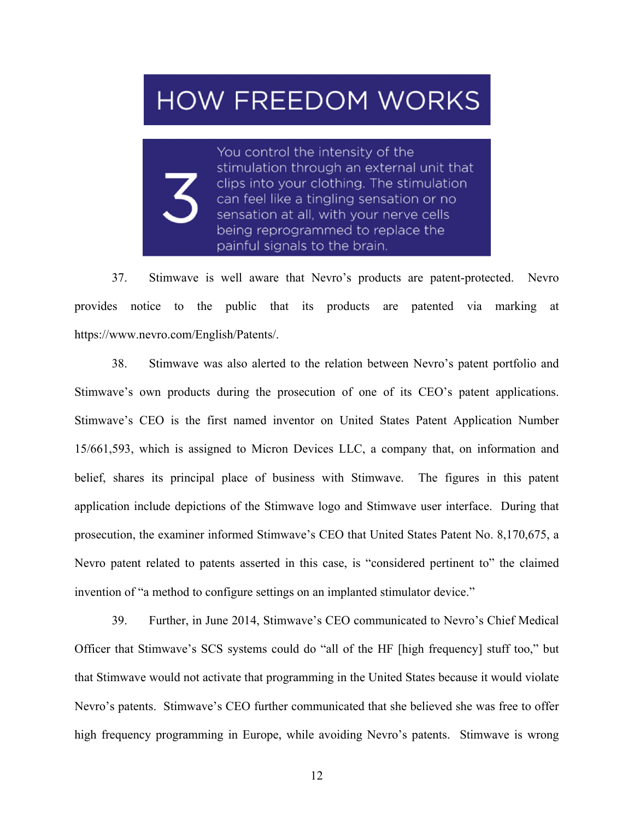# **HOW FREEDOM WORKS**

You control the intensity of the stimulation through an external unit that clips into your clothing. The stimulation can feel like a tingling sensation or no sensation at all, with your nerve cells being reprogrammed to replace the painful signals to the brain.

37. Stimwave is well aware that Nevro's products are patent-protected. Nevro provides notice to the public that its products are patented via marking at https://www.nevro.com/English/Patents/.

38. Stimwave was also alerted to the relation between Nevro's patent portfolio and Stimwave's own products during the prosecution of one of its CEO's patent applications. Stimwave's CEO is the first named inventor on United States Patent Application Number 15/661,593, which is assigned to Micron Devices LLC, a company that, on information and belief, shares its principal place of business with Stimwave. The figures in this patent application include depictions of the Stimwave logo and Stimwave user interface. During that prosecution, the examiner informed Stimwave's CEO that United States Patent No. 8,170,675, a Nevro patent related to patents asserted in this case, is "considered pertinent to" the claimed invention of "a method to configure settings on an implanted stimulator device."

39. Further, in June 2014, Stimwave's CEO communicated to Nevro's Chief Medical Officer that Stimwave's SCS systems could do "all of the HF [high frequency] stuff too," but that Stimwave would not activate that programming in the United States because it would violate Nevro's patents. Stimwave's CEO further communicated that she believed she was free to offer high frequency programming in Europe, while avoiding Nevro's patents. Stimwave is wrong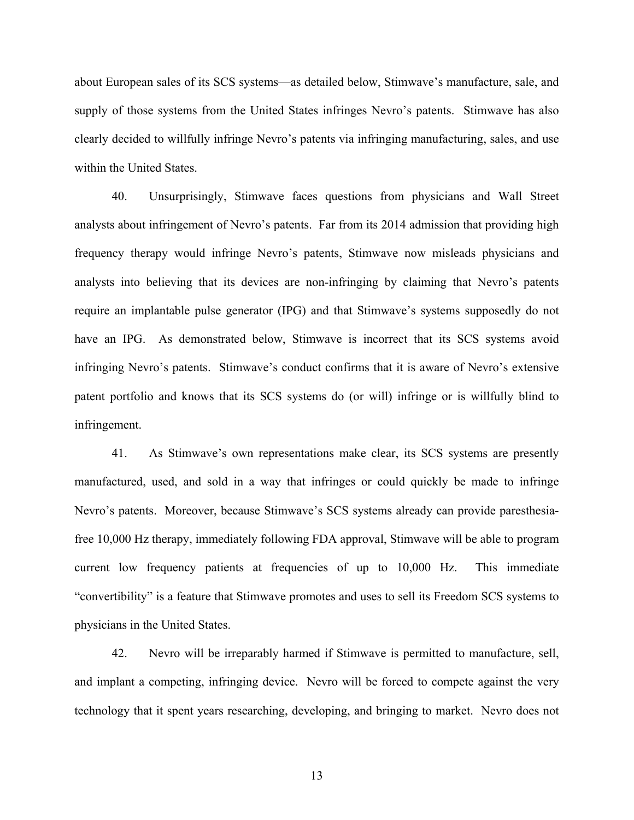about European sales of its SCS systems—as detailed below, Stimwave's manufacture, sale, and supply of those systems from the United States infringes Nevro's patents. Stimwave has also clearly decided to willfully infringe Nevro's patents via infringing manufacturing, sales, and use within the United States.

40. Unsurprisingly, Stimwave faces questions from physicians and Wall Street analysts about infringement of Nevro's patents. Far from its 2014 admission that providing high frequency therapy would infringe Nevro's patents, Stimwave now misleads physicians and analysts into believing that its devices are non-infringing by claiming that Nevro's patents require an implantable pulse generator (IPG) and that Stimwave's systems supposedly do not have an IPG. As demonstrated below, Stimwave is incorrect that its SCS systems avoid infringing Nevro's patents. Stimwave's conduct confirms that it is aware of Nevro's extensive patent portfolio and knows that its SCS systems do (or will) infringe or is willfully blind to infringement.

41. As Stimwave's own representations make clear, its SCS systems are presently manufactured, used, and sold in a way that infringes or could quickly be made to infringe Nevro's patents. Moreover, because Stimwave's SCS systems already can provide paresthesiafree 10,000 Hz therapy, immediately following FDA approval, Stimwave will be able to program current low frequency patients at frequencies of up to 10,000 Hz. This immediate "convertibility" is a feature that Stimwave promotes and uses to sell its Freedom SCS systems to physicians in the United States.

42. Nevro will be irreparably harmed if Stimwave is permitted to manufacture, sell, and implant a competing, infringing device. Nevro will be forced to compete against the very technology that it spent years researching, developing, and bringing to market. Nevro does not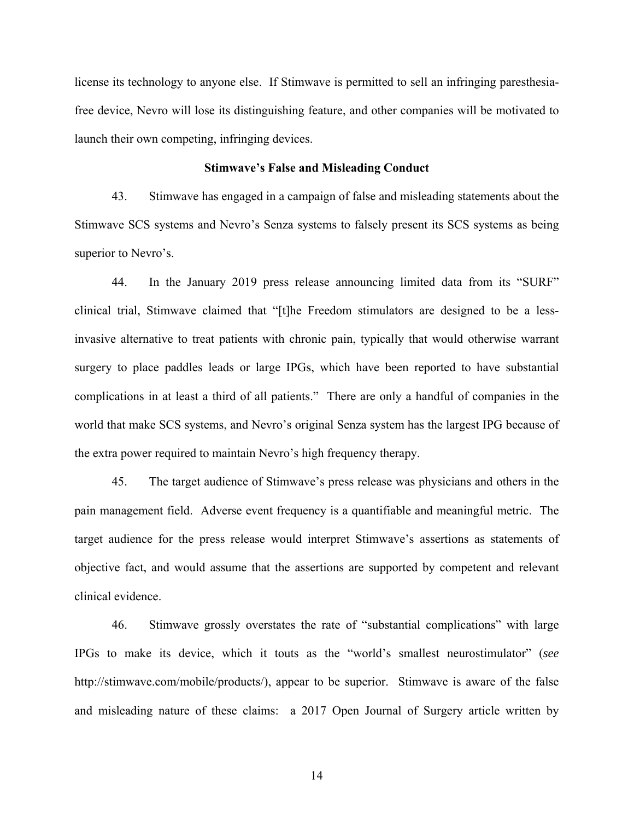license its technology to anyone else. If Stimwave is permitted to sell an infringing paresthesiafree device, Nevro will lose its distinguishing feature, and other companies will be motivated to launch their own competing, infringing devices.

### **Stimwave's False and Misleading Conduct**

43. Stimwave has engaged in a campaign of false and misleading statements about the Stimwave SCS systems and Nevro's Senza systems to falsely present its SCS systems as being superior to Nevro's.

44. In the January 2019 press release announcing limited data from its "SURF" clinical trial, Stimwave claimed that "[t]he Freedom stimulators are designed to be a lessinvasive alternative to treat patients with chronic pain, typically that would otherwise warrant surgery to place paddles leads or large IPGs, which have been reported to have substantial complications in at least a third of all patients." There are only a handful of companies in the world that make SCS systems, and Nevro's original Senza system has the largest IPG because of the extra power required to maintain Nevro's high frequency therapy.

45. The target audience of Stimwave's press release was physicians and others in the pain management field. Adverse event frequency is a quantifiable and meaningful metric. The target audience for the press release would interpret Stimwave's assertions as statements of objective fact, and would assume that the assertions are supported by competent and relevant clinical evidence.

46. Stimwave grossly overstates the rate of "substantial complications" with large IPGs to make its device, which it touts as the "world's smallest neurostimulator" (*see*  http://stimwave.com/mobile/products/), appear to be superior. Stimwave is aware of the false and misleading nature of these claims: a 2017 Open Journal of Surgery article written by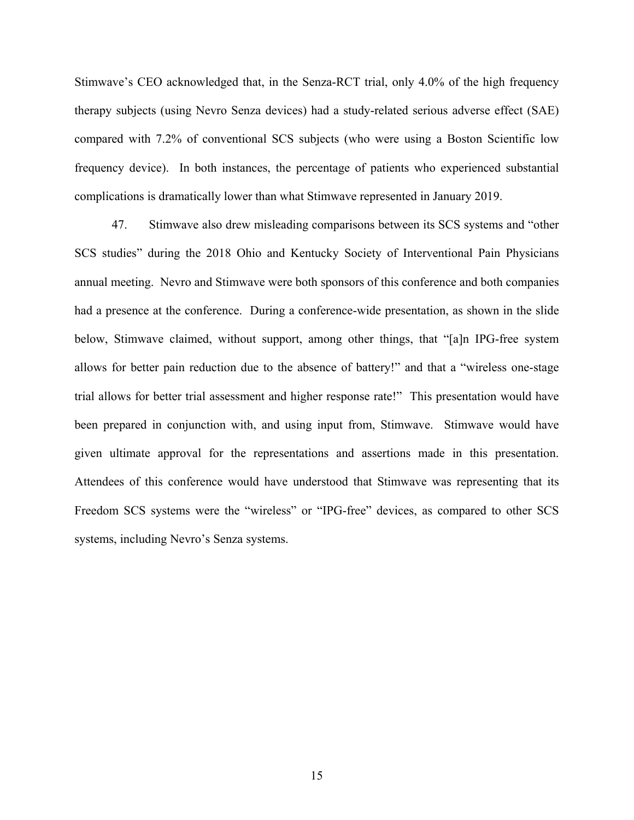Stimwave's CEO acknowledged that, in the Senza-RCT trial, only 4.0% of the high frequency therapy subjects (using Nevro Senza devices) had a study-related serious adverse effect (SAE) compared with 7.2% of conventional SCS subjects (who were using a Boston Scientific low frequency device). In both instances, the percentage of patients who experienced substantial complications is dramatically lower than what Stimwave represented in January 2019.

47. Stimwave also drew misleading comparisons between its SCS systems and "other SCS studies" during the 2018 Ohio and Kentucky Society of Interventional Pain Physicians annual meeting. Nevro and Stimwave were both sponsors of this conference and both companies had a presence at the conference. During a conference-wide presentation, as shown in the slide below, Stimwave claimed, without support, among other things, that "[a]n IPG-free system allows for better pain reduction due to the absence of battery!" and that a "wireless one-stage trial allows for better trial assessment and higher response rate!" This presentation would have been prepared in conjunction with, and using input from, Stimwave. Stimwave would have given ultimate approval for the representations and assertions made in this presentation. Attendees of this conference would have understood that Stimwave was representing that its Freedom SCS systems were the "wireless" or "IPG-free" devices, as compared to other SCS systems, including Nevro's Senza systems.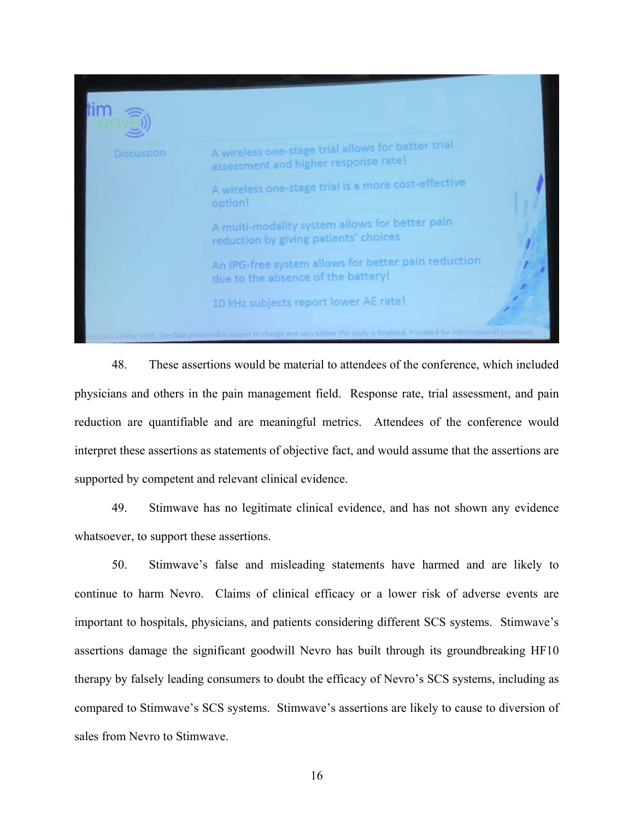

48. These assertions would be material to attendees of the conference, which included physicians and others in the pain management field. Response rate, trial assessment, and pain reduction are quantifiable and are meaningful metrics. Attendees of the conference would interpret these assertions as statements of objective fact, and would assume that the assertions are supported by competent and relevant clinical evidence.

49. Stimwave has no legitimate clinical evidence, and has not shown any evidence whatsoever, to support these assertions.

50. Stimwave's false and misleading statements have harmed and are likely to continue to harm Nevro. Claims of clinical efficacy or a lower risk of adverse events are important to hospitals, physicians, and patients considering different SCS systems. Stimwave's assertions damage the significant goodwill Nevro has built through its groundbreaking HF10 therapy by falsely leading consumers to doubt the efficacy of Nevro's SCS systems, including as compared to Stimwave's SCS systems. Stimwave's assertions are likely to cause to diversion of sales from Nevro to Stimwave.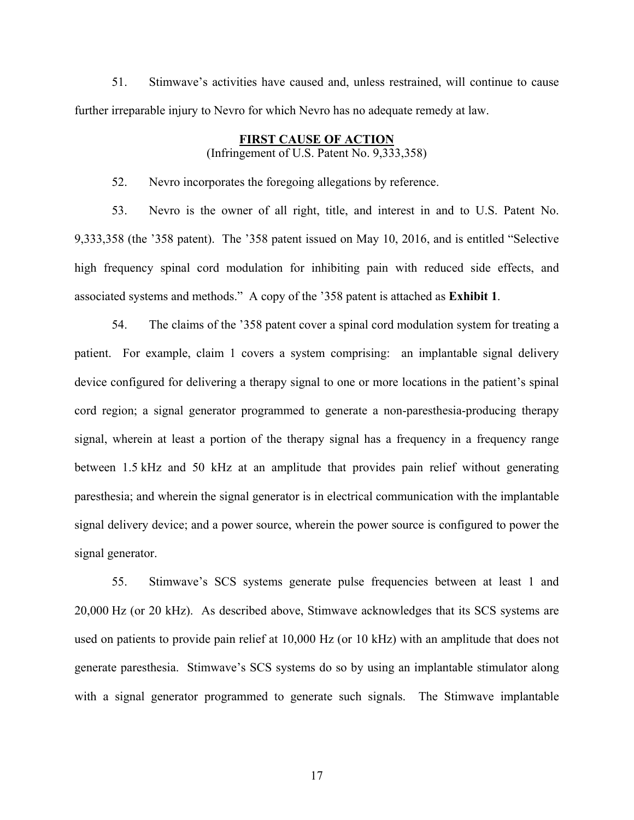51. Stimwave's activities have caused and, unless restrained, will continue to cause further irreparable injury to Nevro for which Nevro has no adequate remedy at law.

# **FIRST CAUSE OF ACTION**

(Infringement of U.S. Patent No. 9,333,358)

52. Nevro incorporates the foregoing allegations by reference.

53. Nevro is the owner of all right, title, and interest in and to U.S. Patent No. 9,333,358 (the '358 patent). The '358 patent issued on May 10, 2016, and is entitled "Selective high frequency spinal cord modulation for inhibiting pain with reduced side effects, and associated systems and methods." A copy of the '358 patent is attached as **Exhibit 1**.

54. The claims of the '358 patent cover a spinal cord modulation system for treating a patient. For example, claim 1 covers a system comprising: an implantable signal delivery device configured for delivering a therapy signal to one or more locations in the patient's spinal cord region; a signal generator programmed to generate a non-paresthesia-producing therapy signal, wherein at least a portion of the therapy signal has a frequency in a frequency range between 1.5 kHz and 50 kHz at an amplitude that provides pain relief without generating paresthesia; and wherein the signal generator is in electrical communication with the implantable signal delivery device; and a power source, wherein the power source is configured to power the signal generator.

55. Stimwave's SCS systems generate pulse frequencies between at least 1 and 20,000 Hz (or 20 kHz). As described above, Stimwave acknowledges that its SCS systems are used on patients to provide pain relief at 10,000 Hz (or 10 kHz) with an amplitude that does not generate paresthesia. Stimwave's SCS systems do so by using an implantable stimulator along with a signal generator programmed to generate such signals. The Stimwave implantable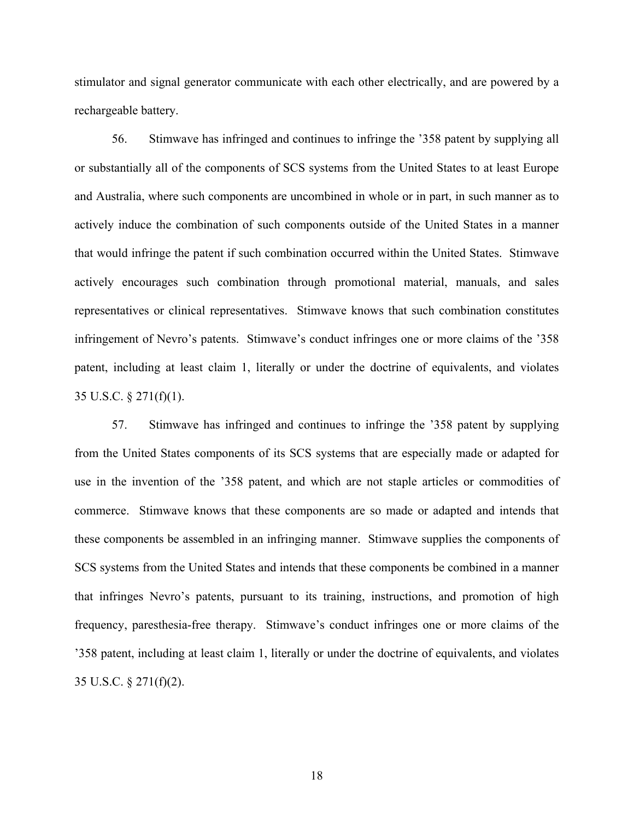stimulator and signal generator communicate with each other electrically, and are powered by a rechargeable battery.

56. Stimwave has infringed and continues to infringe the '358 patent by supplying all or substantially all of the components of SCS systems from the United States to at least Europe and Australia, where such components are uncombined in whole or in part, in such manner as to actively induce the combination of such components outside of the United States in a manner that would infringe the patent if such combination occurred within the United States. Stimwave actively encourages such combination through promotional material, manuals, and sales representatives or clinical representatives. Stimwave knows that such combination constitutes infringement of Nevro's patents. Stimwave's conduct infringes one or more claims of the '358 patent, including at least claim 1, literally or under the doctrine of equivalents, and violates 35 U.S.C. § 271(f)(1).

57. Stimwave has infringed and continues to infringe the '358 patent by supplying from the United States components of its SCS systems that are especially made or adapted for use in the invention of the '358 patent, and which are not staple articles or commodities of commerce. Stimwave knows that these components are so made or adapted and intends that these components be assembled in an infringing manner. Stimwave supplies the components of SCS systems from the United States and intends that these components be combined in a manner that infringes Nevro's patents, pursuant to its training, instructions, and promotion of high frequency, paresthesia-free therapy. Stimwave's conduct infringes one or more claims of the '358 patent, including at least claim 1, literally or under the doctrine of equivalents, and violates 35 U.S.C. § 271(f)(2).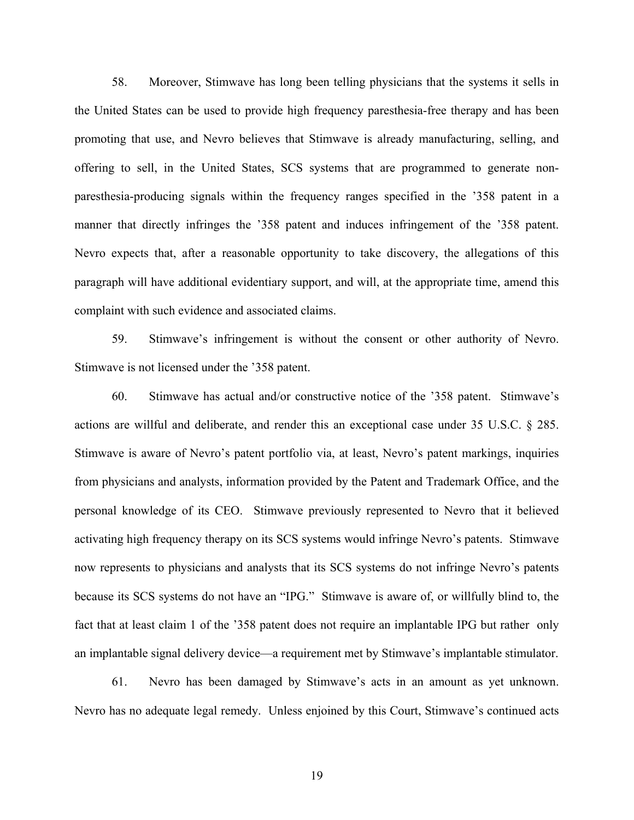58. Moreover, Stimwave has long been telling physicians that the systems it sells in the United States can be used to provide high frequency paresthesia-free therapy and has been promoting that use, and Nevro believes that Stimwave is already manufacturing, selling, and offering to sell, in the United States, SCS systems that are programmed to generate nonparesthesia-producing signals within the frequency ranges specified in the '358 patent in a manner that directly infringes the '358 patent and induces infringement of the '358 patent. Nevro expects that, after a reasonable opportunity to take discovery, the allegations of this paragraph will have additional evidentiary support, and will, at the appropriate time, amend this complaint with such evidence and associated claims.

59. Stimwave's infringement is without the consent or other authority of Nevro. Stimwave is not licensed under the '358 patent.

60. Stimwave has actual and/or constructive notice of the '358 patent. Stimwave's actions are willful and deliberate, and render this an exceptional case under 35 U.S.C. § 285. Stimwave is aware of Nevro's patent portfolio via, at least, Nevro's patent markings, inquiries from physicians and analysts, information provided by the Patent and Trademark Office, and the personal knowledge of its CEO. Stimwave previously represented to Nevro that it believed activating high frequency therapy on its SCS systems would infringe Nevro's patents. Stimwave now represents to physicians and analysts that its SCS systems do not infringe Nevro's patents because its SCS systems do not have an "IPG." Stimwave is aware of, or willfully blind to, the fact that at least claim 1 of the '358 patent does not require an implantable IPG but rather only an implantable signal delivery device—a requirement met by Stimwave's implantable stimulator.

61. Nevro has been damaged by Stimwave's acts in an amount as yet unknown. Nevro has no adequate legal remedy. Unless enjoined by this Court, Stimwave's continued acts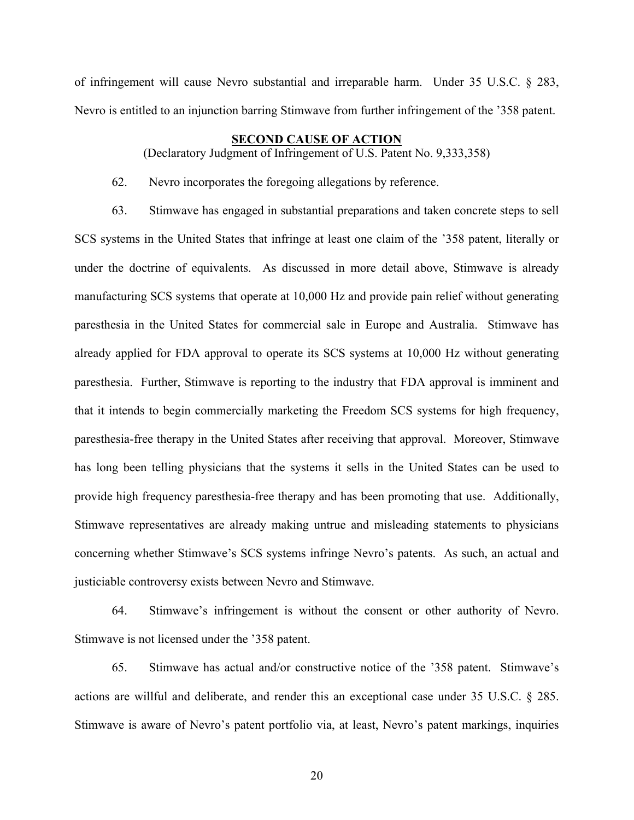of infringement will cause Nevro substantial and irreparable harm. Under 35 U.S.C. § 283, Nevro is entitled to an injunction barring Stimwave from further infringement of the '358 patent.

# **SECOND CAUSE OF ACTION**

(Declaratory Judgment of Infringement of U.S. Patent No. 9,333,358)

62. Nevro incorporates the foregoing allegations by reference.

63. Stimwave has engaged in substantial preparations and taken concrete steps to sell SCS systems in the United States that infringe at least one claim of the '358 patent, literally or under the doctrine of equivalents. As discussed in more detail above, Stimwave is already manufacturing SCS systems that operate at 10,000 Hz and provide pain relief without generating paresthesia in the United States for commercial sale in Europe and Australia. Stimwave has already applied for FDA approval to operate its SCS systems at 10,000 Hz without generating paresthesia. Further, Stimwave is reporting to the industry that FDA approval is imminent and that it intends to begin commercially marketing the Freedom SCS systems for high frequency, paresthesia-free therapy in the United States after receiving that approval. Moreover, Stimwave has long been telling physicians that the systems it sells in the United States can be used to provide high frequency paresthesia-free therapy and has been promoting that use. Additionally, Stimwave representatives are already making untrue and misleading statements to physicians concerning whether Stimwave's SCS systems infringe Nevro's patents. As such, an actual and justiciable controversy exists between Nevro and Stimwave.

64. Stimwave's infringement is without the consent or other authority of Nevro. Stimwave is not licensed under the '358 patent.

65. Stimwave has actual and/or constructive notice of the '358 patent. Stimwave's actions are willful and deliberate, and render this an exceptional case under 35 U.S.C. § 285. Stimwave is aware of Nevro's patent portfolio via, at least, Nevro's patent markings, inquiries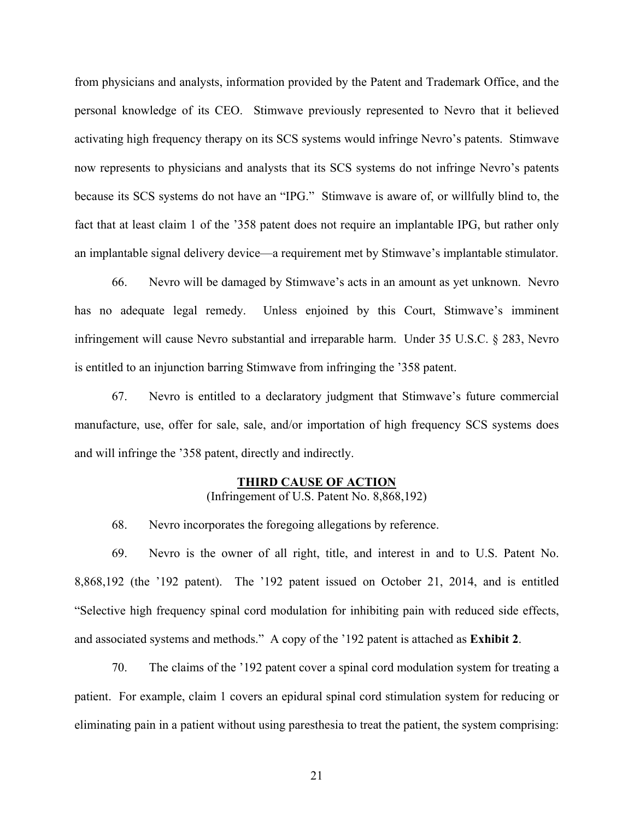from physicians and analysts, information provided by the Patent and Trademark Office, and the personal knowledge of its CEO. Stimwave previously represented to Nevro that it believed activating high frequency therapy on its SCS systems would infringe Nevro's patents. Stimwave now represents to physicians and analysts that its SCS systems do not infringe Nevro's patents because its SCS systems do not have an "IPG." Stimwave is aware of, or willfully blind to, the fact that at least claim 1 of the '358 patent does not require an implantable IPG, but rather only an implantable signal delivery device—a requirement met by Stimwave's implantable stimulator.

66. Nevro will be damaged by Stimwave's acts in an amount as yet unknown. Nevro has no adequate legal remedy. Unless enjoined by this Court, Stimwave's imminent infringement will cause Nevro substantial and irreparable harm. Under 35 U.S.C. § 283, Nevro is entitled to an injunction barring Stimwave from infringing the '358 patent.

67. Nevro is entitled to a declaratory judgment that Stimwave's future commercial manufacture, use, offer for sale, sale, and/or importation of high frequency SCS systems does and will infringe the '358 patent, directly and indirectly.

# **THIRD CAUSE OF ACTION**

(Infringement of U.S. Patent No. 8,868,192)

68. Nevro incorporates the foregoing allegations by reference.

69. Nevro is the owner of all right, title, and interest in and to U.S. Patent No. 8,868,192 (the '192 patent). The '192 patent issued on October 21, 2014, and is entitled "Selective high frequency spinal cord modulation for inhibiting pain with reduced side effects, and associated systems and methods." A copy of the '192 patent is attached as **Exhibit 2**.

70. The claims of the '192 patent cover a spinal cord modulation system for treating a patient. For example, claim 1 covers an epidural spinal cord stimulation system for reducing or eliminating pain in a patient without using paresthesia to treat the patient, the system comprising: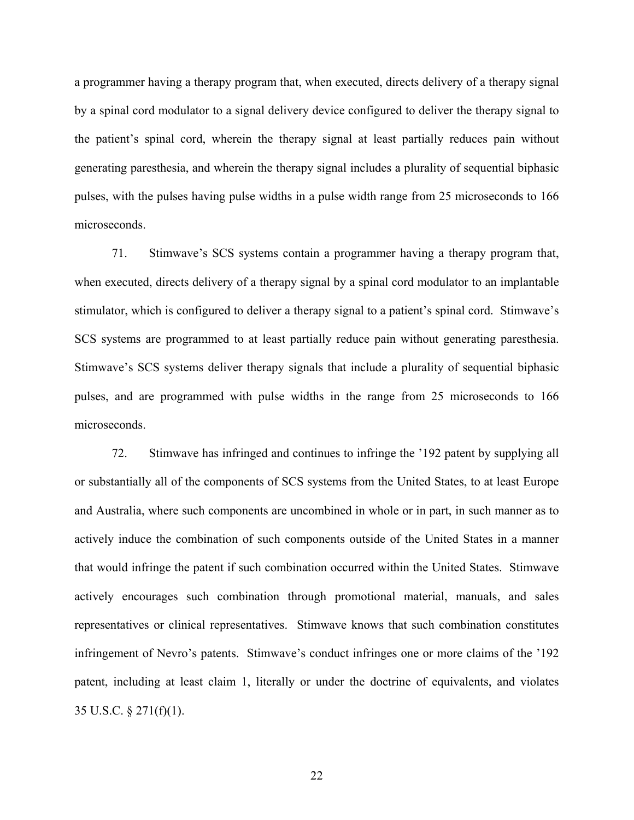a programmer having a therapy program that, when executed, directs delivery of a therapy signal by a spinal cord modulator to a signal delivery device configured to deliver the therapy signal to the patient's spinal cord, wherein the therapy signal at least partially reduces pain without generating paresthesia, and wherein the therapy signal includes a plurality of sequential biphasic pulses, with the pulses having pulse widths in a pulse width range from 25 microseconds to 166 microseconds.

71. Stimwave's SCS systems contain a programmer having a therapy program that, when executed, directs delivery of a therapy signal by a spinal cord modulator to an implantable stimulator, which is configured to deliver a therapy signal to a patient's spinal cord. Stimwave's SCS systems are programmed to at least partially reduce pain without generating paresthesia. Stimwave's SCS systems deliver therapy signals that include a plurality of sequential biphasic pulses, and are programmed with pulse widths in the range from 25 microseconds to 166 microseconds.

72. Stimwave has infringed and continues to infringe the '192 patent by supplying all or substantially all of the components of SCS systems from the United States, to at least Europe and Australia, where such components are uncombined in whole or in part, in such manner as to actively induce the combination of such components outside of the United States in a manner that would infringe the patent if such combination occurred within the United States. Stimwave actively encourages such combination through promotional material, manuals, and sales representatives or clinical representatives. Stimwave knows that such combination constitutes infringement of Nevro's patents. Stimwave's conduct infringes one or more claims of the '192 patent, including at least claim 1, literally or under the doctrine of equivalents, and violates 35 U.S.C. § 271(f)(1).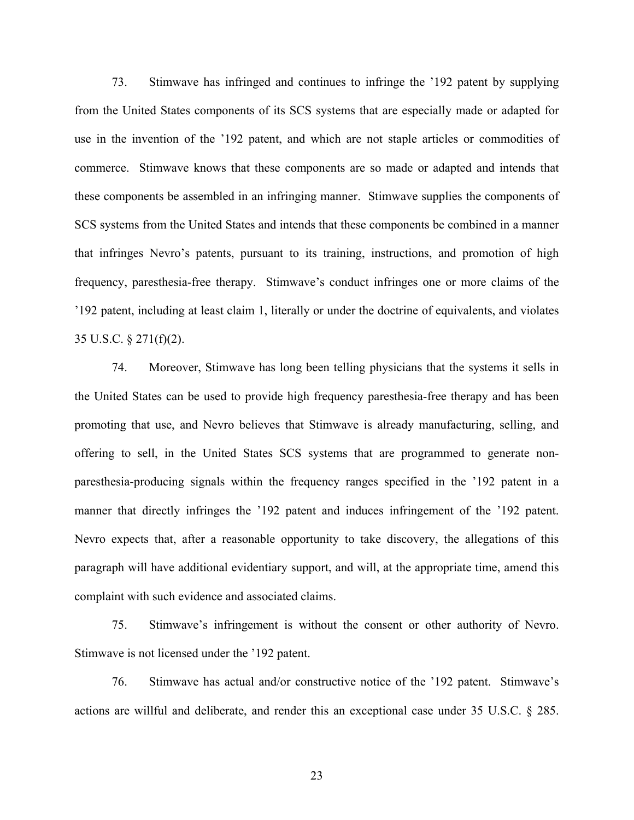73. Stimwave has infringed and continues to infringe the '192 patent by supplying from the United States components of its SCS systems that are especially made or adapted for use in the invention of the '192 patent, and which are not staple articles or commodities of commerce. Stimwave knows that these components are so made or adapted and intends that these components be assembled in an infringing manner. Stimwave supplies the components of SCS systems from the United States and intends that these components be combined in a manner that infringes Nevro's patents, pursuant to its training, instructions, and promotion of high frequency, paresthesia-free therapy. Stimwave's conduct infringes one or more claims of the '192 patent, including at least claim 1, literally or under the doctrine of equivalents, and violates 35 U.S.C. § 271(f)(2).

74. Moreover, Stimwave has long been telling physicians that the systems it sells in the United States can be used to provide high frequency paresthesia-free therapy and has been promoting that use, and Nevro believes that Stimwave is already manufacturing, selling, and offering to sell, in the United States SCS systems that are programmed to generate nonparesthesia-producing signals within the frequency ranges specified in the '192 patent in a manner that directly infringes the '192 patent and induces infringement of the '192 patent. Nevro expects that, after a reasonable opportunity to take discovery, the allegations of this paragraph will have additional evidentiary support, and will, at the appropriate time, amend this complaint with such evidence and associated claims.

75. Stimwave's infringement is without the consent or other authority of Nevro. Stimwave is not licensed under the '192 patent.

76. Stimwave has actual and/or constructive notice of the '192 patent. Stimwave's actions are willful and deliberate, and render this an exceptional case under 35 U.S.C. § 285.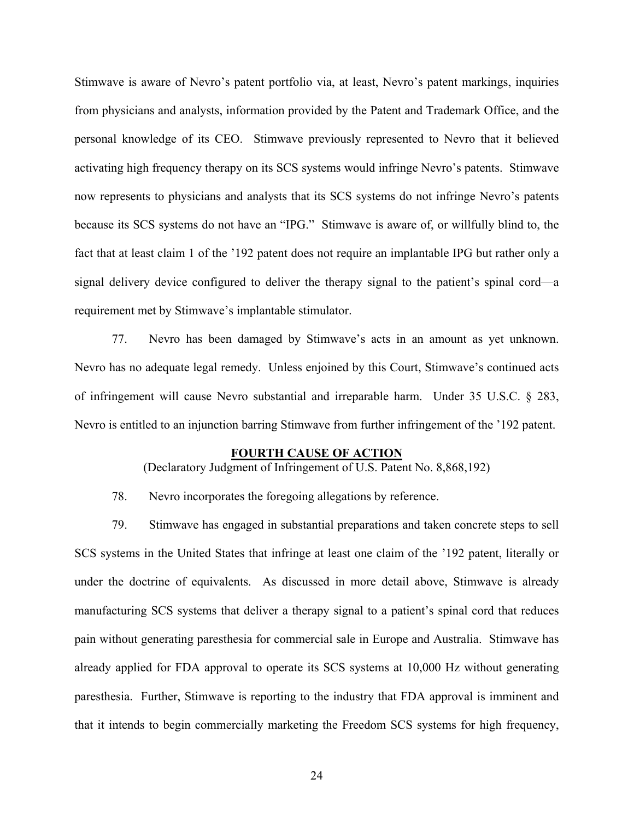Stimwave is aware of Nevro's patent portfolio via, at least, Nevro's patent markings, inquiries from physicians and analysts, information provided by the Patent and Trademark Office, and the personal knowledge of its CEO. Stimwave previously represented to Nevro that it believed activating high frequency therapy on its SCS systems would infringe Nevro's patents. Stimwave now represents to physicians and analysts that its SCS systems do not infringe Nevro's patents because its SCS systems do not have an "IPG." Stimwave is aware of, or willfully blind to, the fact that at least claim 1 of the '192 patent does not require an implantable IPG but rather only a signal delivery device configured to deliver the therapy signal to the patient's spinal cord—a requirement met by Stimwave's implantable stimulator.

77. Nevro has been damaged by Stimwave's acts in an amount as yet unknown. Nevro has no adequate legal remedy. Unless enjoined by this Court, Stimwave's continued acts of infringement will cause Nevro substantial and irreparable harm. Under 35 U.S.C. § 283, Nevro is entitled to an injunction barring Stimwave from further infringement of the '192 patent.

### **FOURTH CAUSE OF ACTION**

(Declaratory Judgment of Infringement of U.S. Patent No. 8,868,192)

78. Nevro incorporates the foregoing allegations by reference.

79. Stimwave has engaged in substantial preparations and taken concrete steps to sell SCS systems in the United States that infringe at least one claim of the '192 patent, literally or under the doctrine of equivalents. As discussed in more detail above, Stimwave is already manufacturing SCS systems that deliver a therapy signal to a patient's spinal cord that reduces pain without generating paresthesia for commercial sale in Europe and Australia. Stimwave has already applied for FDA approval to operate its SCS systems at 10,000 Hz without generating paresthesia. Further, Stimwave is reporting to the industry that FDA approval is imminent and that it intends to begin commercially marketing the Freedom SCS systems for high frequency,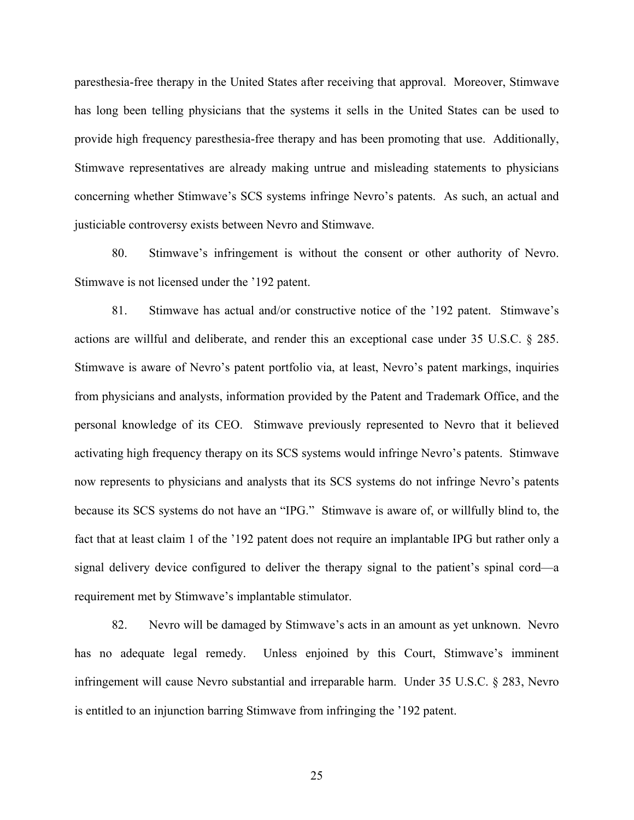paresthesia-free therapy in the United States after receiving that approval. Moreover, Stimwave has long been telling physicians that the systems it sells in the United States can be used to provide high frequency paresthesia-free therapy and has been promoting that use. Additionally, Stimwave representatives are already making untrue and misleading statements to physicians concerning whether Stimwave's SCS systems infringe Nevro's patents. As such, an actual and justiciable controversy exists between Nevro and Stimwave.

80. Stimwave's infringement is without the consent or other authority of Nevro. Stimwave is not licensed under the '192 patent.

81. Stimwave has actual and/or constructive notice of the '192 patent. Stimwave's actions are willful and deliberate, and render this an exceptional case under 35 U.S.C. § 285. Stimwave is aware of Nevro's patent portfolio via, at least, Nevro's patent markings, inquiries from physicians and analysts, information provided by the Patent and Trademark Office, and the personal knowledge of its CEO. Stimwave previously represented to Nevro that it believed activating high frequency therapy on its SCS systems would infringe Nevro's patents. Stimwave now represents to physicians and analysts that its SCS systems do not infringe Nevro's patents because its SCS systems do not have an "IPG." Stimwave is aware of, or willfully blind to, the fact that at least claim 1 of the '192 patent does not require an implantable IPG but rather only a signal delivery device configured to deliver the therapy signal to the patient's spinal cord—a requirement met by Stimwave's implantable stimulator.

82. Nevro will be damaged by Stimwave's acts in an amount as yet unknown. Nevro has no adequate legal remedy. Unless enjoined by this Court, Stimwave's imminent infringement will cause Nevro substantial and irreparable harm. Under 35 U.S.C. § 283, Nevro is entitled to an injunction barring Stimwave from infringing the '192 patent.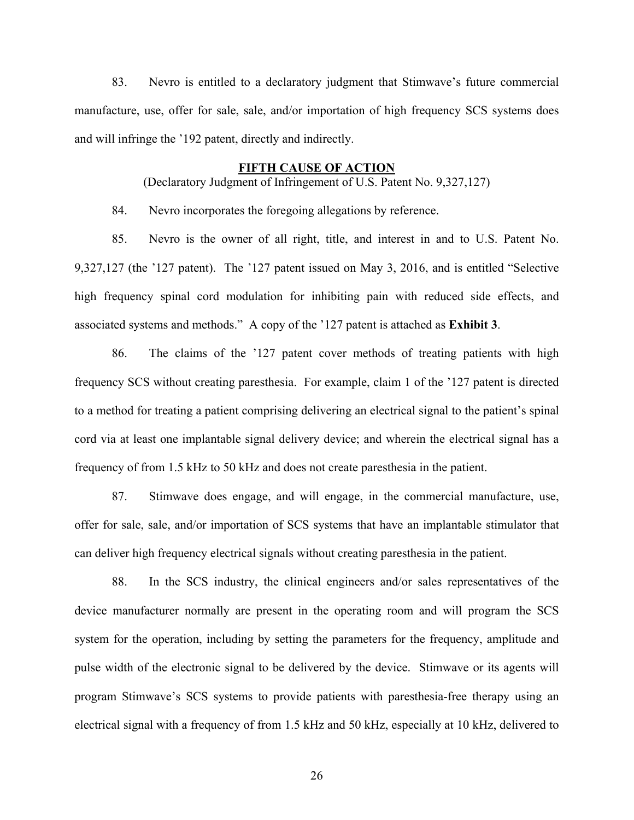83. Nevro is entitled to a declaratory judgment that Stimwave's future commercial manufacture, use, offer for sale, sale, and/or importation of high frequency SCS systems does and will infringe the '192 patent, directly and indirectly.

### **FIFTH CAUSE OF ACTION**

(Declaratory Judgment of Infringement of U.S. Patent No. 9,327,127)

84. Nevro incorporates the foregoing allegations by reference.

85. Nevro is the owner of all right, title, and interest in and to U.S. Patent No. 9,327,127 (the '127 patent). The '127 patent issued on May 3, 2016, and is entitled "Selective high frequency spinal cord modulation for inhibiting pain with reduced side effects, and associated systems and methods." A copy of the '127 patent is attached as **Exhibit 3**.

86. The claims of the '127 patent cover methods of treating patients with high frequency SCS without creating paresthesia. For example, claim 1 of the '127 patent is directed to a method for treating a patient comprising delivering an electrical signal to the patient's spinal cord via at least one implantable signal delivery device; and wherein the electrical signal has a frequency of from 1.5 kHz to 50 kHz and does not create paresthesia in the patient.

87. Stimwave does engage, and will engage, in the commercial manufacture, use, offer for sale, sale, and/or importation of SCS systems that have an implantable stimulator that can deliver high frequency electrical signals without creating paresthesia in the patient.

88. In the SCS industry, the clinical engineers and/or sales representatives of the device manufacturer normally are present in the operating room and will program the SCS system for the operation, including by setting the parameters for the frequency, amplitude and pulse width of the electronic signal to be delivered by the device. Stimwave or its agents will program Stimwave's SCS systems to provide patients with paresthesia-free therapy using an electrical signal with a frequency of from 1.5 kHz and 50 kHz, especially at 10 kHz, delivered to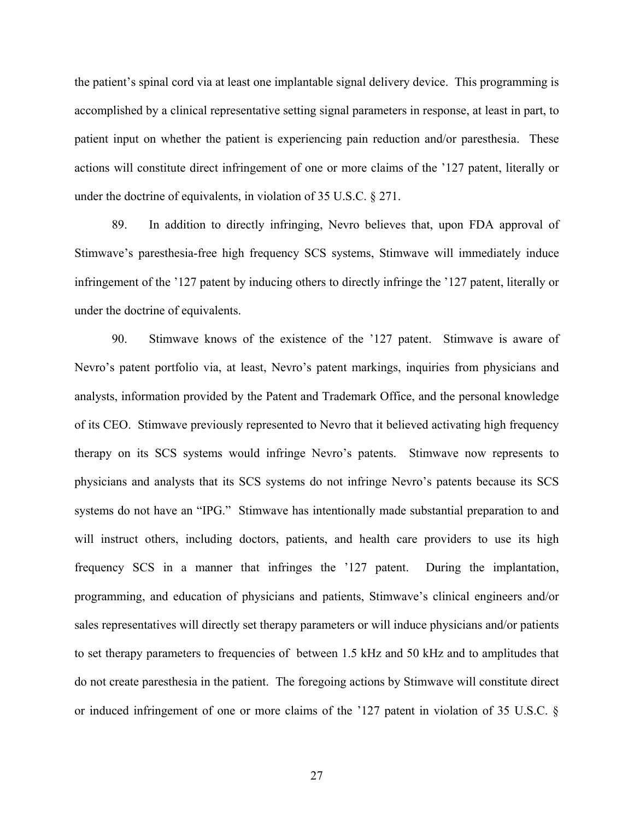the patient's spinal cord via at least one implantable signal delivery device. This programming is accomplished by a clinical representative setting signal parameters in response, at least in part, to patient input on whether the patient is experiencing pain reduction and/or paresthesia. These actions will constitute direct infringement of one or more claims of the '127 patent, literally or under the doctrine of equivalents, in violation of 35 U.S.C. § 271.

89. In addition to directly infringing, Nevro believes that, upon FDA approval of Stimwave's paresthesia-free high frequency SCS systems, Stimwave will immediately induce infringement of the '127 patent by inducing others to directly infringe the '127 patent, literally or under the doctrine of equivalents.

90. Stimwave knows of the existence of the '127 patent. Stimwave is aware of Nevro's patent portfolio via, at least, Nevro's patent markings, inquiries from physicians and analysts, information provided by the Patent and Trademark Office, and the personal knowledge of its CEO. Stimwave previously represented to Nevro that it believed activating high frequency therapy on its SCS systems would infringe Nevro's patents. Stimwave now represents to physicians and analysts that its SCS systems do not infringe Nevro's patents because its SCS systems do not have an "IPG." Stimwave has intentionally made substantial preparation to and will instruct others, including doctors, patients, and health care providers to use its high frequency SCS in a manner that infringes the '127 patent. During the implantation, programming, and education of physicians and patients, Stimwave's clinical engineers and/or sales representatives will directly set therapy parameters or will induce physicians and/or patients to set therapy parameters to frequencies of between 1.5 kHz and 50 kHz and to amplitudes that do not create paresthesia in the patient. The foregoing actions by Stimwave will constitute direct or induced infringement of one or more claims of the '127 patent in violation of 35 U.S.C. §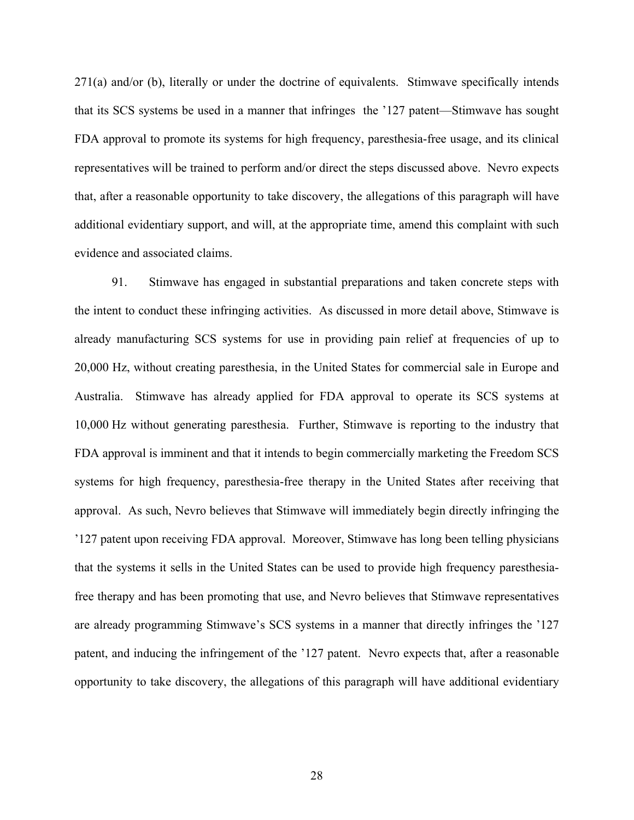271(a) and/or (b), literally or under the doctrine of equivalents. Stimwave specifically intends that its SCS systems be used in a manner that infringes the '127 patent—Stimwave has sought FDA approval to promote its systems for high frequency, paresthesia-free usage, and its clinical representatives will be trained to perform and/or direct the steps discussed above. Nevro expects that, after a reasonable opportunity to take discovery, the allegations of this paragraph will have additional evidentiary support, and will, at the appropriate time, amend this complaint with such evidence and associated claims.

91. Stimwave has engaged in substantial preparations and taken concrete steps with the intent to conduct these infringing activities. As discussed in more detail above, Stimwave is already manufacturing SCS systems for use in providing pain relief at frequencies of up to 20,000 Hz, without creating paresthesia, in the United States for commercial sale in Europe and Australia. Stimwave has already applied for FDA approval to operate its SCS systems at 10,000 Hz without generating paresthesia. Further, Stimwave is reporting to the industry that FDA approval is imminent and that it intends to begin commercially marketing the Freedom SCS systems for high frequency, paresthesia-free therapy in the United States after receiving that approval. As such, Nevro believes that Stimwave will immediately begin directly infringing the '127 patent upon receiving FDA approval. Moreover, Stimwave has long been telling physicians that the systems it sells in the United States can be used to provide high frequency paresthesiafree therapy and has been promoting that use, and Nevro believes that Stimwave representatives are already programming Stimwave's SCS systems in a manner that directly infringes the '127 patent, and inducing the infringement of the '127 patent. Nevro expects that, after a reasonable opportunity to take discovery, the allegations of this paragraph will have additional evidentiary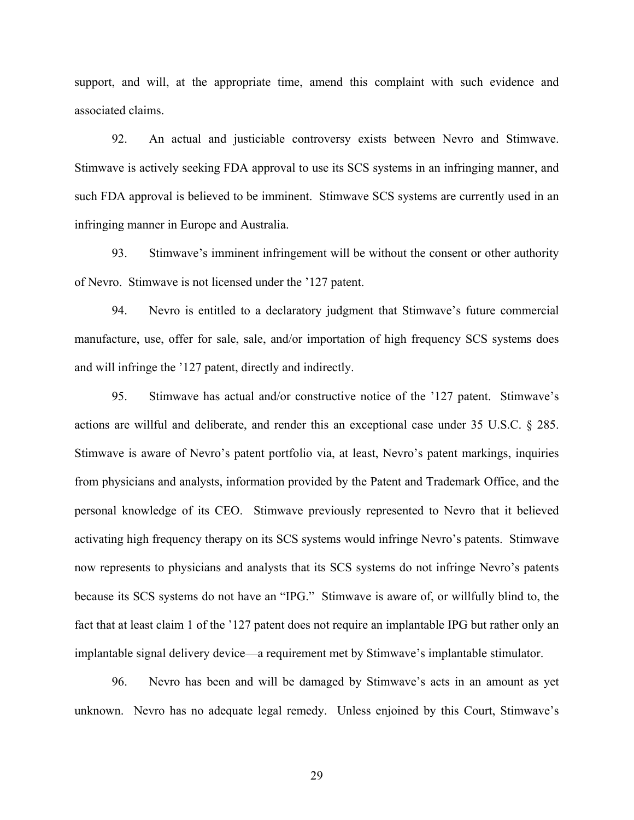support, and will, at the appropriate time, amend this complaint with such evidence and associated claims.

92. An actual and justiciable controversy exists between Nevro and Stimwave. Stimwave is actively seeking FDA approval to use its SCS systems in an infringing manner, and such FDA approval is believed to be imminent. Stimwave SCS systems are currently used in an infringing manner in Europe and Australia.

93. Stimwave's imminent infringement will be without the consent or other authority of Nevro. Stimwave is not licensed under the '127 patent.

94. Nevro is entitled to a declaratory judgment that Stimwave's future commercial manufacture, use, offer for sale, sale, and/or importation of high frequency SCS systems does and will infringe the '127 patent, directly and indirectly.

95. Stimwave has actual and/or constructive notice of the '127 patent. Stimwave's actions are willful and deliberate, and render this an exceptional case under 35 U.S.C. § 285. Stimwave is aware of Nevro's patent portfolio via, at least, Nevro's patent markings, inquiries from physicians and analysts, information provided by the Patent and Trademark Office, and the personal knowledge of its CEO. Stimwave previously represented to Nevro that it believed activating high frequency therapy on its SCS systems would infringe Nevro's patents. Stimwave now represents to physicians and analysts that its SCS systems do not infringe Nevro's patents because its SCS systems do not have an "IPG." Stimwave is aware of, or willfully blind to, the fact that at least claim 1 of the '127 patent does not require an implantable IPG but rather only an implantable signal delivery device—a requirement met by Stimwave's implantable stimulator.

96. Nevro has been and will be damaged by Stimwave's acts in an amount as yet unknown. Nevro has no adequate legal remedy. Unless enjoined by this Court, Stimwave's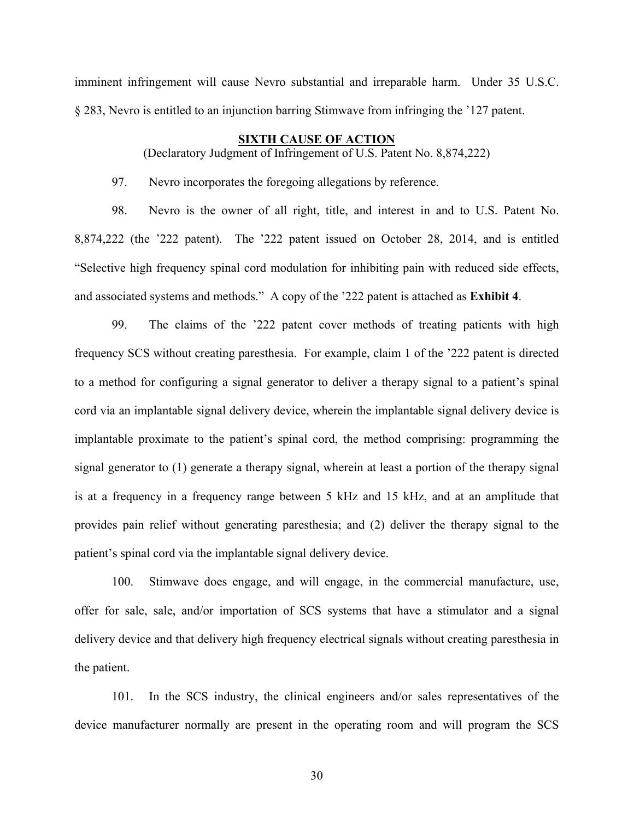imminent infringement will cause Nevro substantial and irreparable harm. Under 35 U.S.C. § 283, Nevro is entitled to an injunction barring Stimwave from infringing the '127 patent.

# **SIXTH CAUSE OF ACTION**

(Declaratory Judgment of Infringement of U.S. Patent No. 8,874,222)

97. Nevro incorporates the foregoing allegations by reference.

98. Nevro is the owner of all right, title, and interest in and to U.S. Patent No. 8,874,222 (the '222 patent). The '222 patent issued on October 28, 2014, and is entitled "Selective high frequency spinal cord modulation for inhibiting pain with reduced side effects, and associated systems and methods." A copy of the '222 patent is attached as **Exhibit 4**.

99. The claims of the '222 patent cover methods of treating patients with high frequency SCS without creating paresthesia. For example, claim 1 of the '222 patent is directed to a method for configuring a signal generator to deliver a therapy signal to a patient's spinal cord via an implantable signal delivery device, wherein the implantable signal delivery device is implantable proximate to the patient's spinal cord, the method comprising: programming the signal generator to (1) generate a therapy signal, wherein at least a portion of the therapy signal is at a frequency in a frequency range between 5 kHz and 15 kHz, and at an amplitude that provides pain relief without generating paresthesia; and (2) deliver the therapy signal to the patient's spinal cord via the implantable signal delivery device.

100. Stimwave does engage, and will engage, in the commercial manufacture, use, offer for sale, sale, and/or importation of SCS systems that have a stimulator and a signal delivery device and that delivery high frequency electrical signals without creating paresthesia in the patient.

101. In the SCS industry, the clinical engineers and/or sales representatives of the device manufacturer normally are present in the operating room and will program the SCS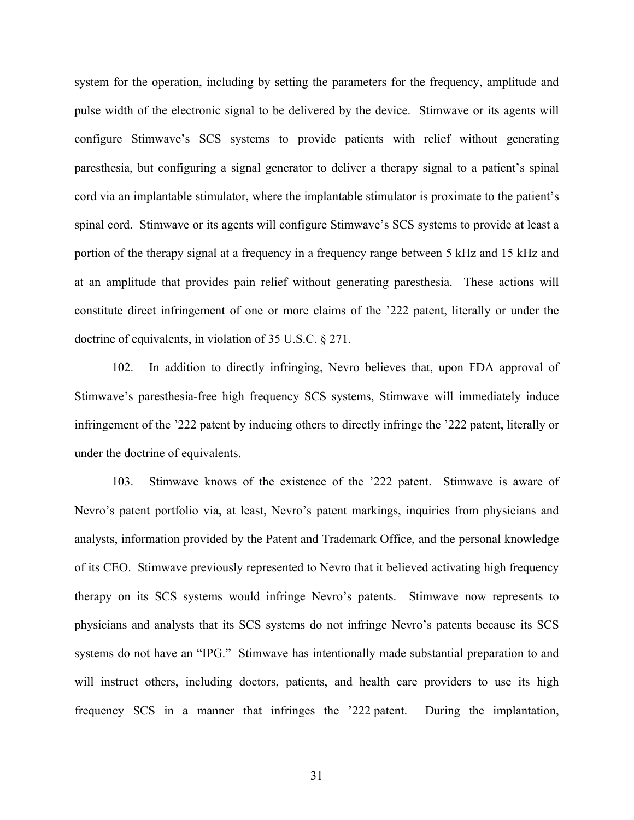system for the operation, including by setting the parameters for the frequency, amplitude and pulse width of the electronic signal to be delivered by the device. Stimwave or its agents will configure Stimwave's SCS systems to provide patients with relief without generating paresthesia, but configuring a signal generator to deliver a therapy signal to a patient's spinal cord via an implantable stimulator, where the implantable stimulator is proximate to the patient's spinal cord. Stimwave or its agents will configure Stimwave's SCS systems to provide at least a portion of the therapy signal at a frequency in a frequency range between 5 kHz and 15 kHz and at an amplitude that provides pain relief without generating paresthesia. These actions will constitute direct infringement of one or more claims of the '222 patent, literally or under the doctrine of equivalents, in violation of 35 U.S.C. § 271.

102. In addition to directly infringing, Nevro believes that, upon FDA approval of Stimwave's paresthesia-free high frequency SCS systems, Stimwave will immediately induce infringement of the '222 patent by inducing others to directly infringe the '222 patent, literally or under the doctrine of equivalents.

103. Stimwave knows of the existence of the '222 patent. Stimwave is aware of Nevro's patent portfolio via, at least, Nevro's patent markings, inquiries from physicians and analysts, information provided by the Patent and Trademark Office, and the personal knowledge of its CEO. Stimwave previously represented to Nevro that it believed activating high frequency therapy on its SCS systems would infringe Nevro's patents. Stimwave now represents to physicians and analysts that its SCS systems do not infringe Nevro's patents because its SCS systems do not have an "IPG." Stimwave has intentionally made substantial preparation to and will instruct others, including doctors, patients, and health care providers to use its high frequency SCS in a manner that infringes the '222 patent. During the implantation,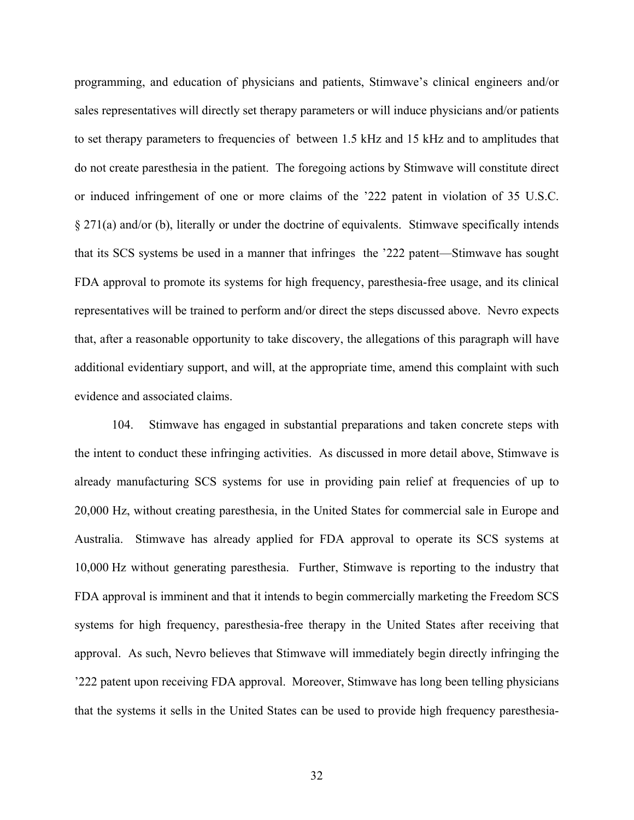programming, and education of physicians and patients, Stimwave's clinical engineers and/or sales representatives will directly set therapy parameters or will induce physicians and/or patients to set therapy parameters to frequencies of between 1.5 kHz and 15 kHz and to amplitudes that do not create paresthesia in the patient. The foregoing actions by Stimwave will constitute direct or induced infringement of one or more claims of the '222 patent in violation of 35 U.S.C. § 271(a) and/or (b), literally or under the doctrine of equivalents. Stimwave specifically intends that its SCS systems be used in a manner that infringes the '222 patent—Stimwave has sought FDA approval to promote its systems for high frequency, paresthesia-free usage, and its clinical representatives will be trained to perform and/or direct the steps discussed above. Nevro expects that, after a reasonable opportunity to take discovery, the allegations of this paragraph will have additional evidentiary support, and will, at the appropriate time, amend this complaint with such evidence and associated claims.

104. Stimwave has engaged in substantial preparations and taken concrete steps with the intent to conduct these infringing activities. As discussed in more detail above, Stimwave is already manufacturing SCS systems for use in providing pain relief at frequencies of up to 20,000 Hz, without creating paresthesia, in the United States for commercial sale in Europe and Australia. Stimwave has already applied for FDA approval to operate its SCS systems at 10,000 Hz without generating paresthesia. Further, Stimwave is reporting to the industry that FDA approval is imminent and that it intends to begin commercially marketing the Freedom SCS systems for high frequency, paresthesia-free therapy in the United States after receiving that approval. As such, Nevro believes that Stimwave will immediately begin directly infringing the '222 patent upon receiving FDA approval. Moreover, Stimwave has long been telling physicians that the systems it sells in the United States can be used to provide high frequency paresthesia-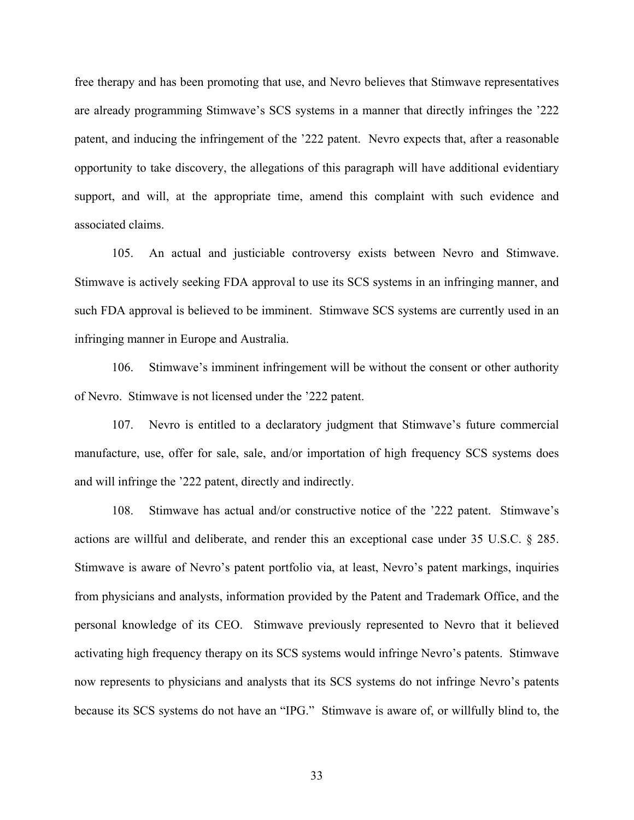free therapy and has been promoting that use, and Nevro believes that Stimwave representatives are already programming Stimwave's SCS systems in a manner that directly infringes the '222 patent, and inducing the infringement of the '222 patent. Nevro expects that, after a reasonable opportunity to take discovery, the allegations of this paragraph will have additional evidentiary support, and will, at the appropriate time, amend this complaint with such evidence and associated claims.

105. An actual and justiciable controversy exists between Nevro and Stimwave. Stimwave is actively seeking FDA approval to use its SCS systems in an infringing manner, and such FDA approval is believed to be imminent. Stimwave SCS systems are currently used in an infringing manner in Europe and Australia.

106. Stimwave's imminent infringement will be without the consent or other authority of Nevro. Stimwave is not licensed under the '222 patent.

107. Nevro is entitled to a declaratory judgment that Stimwave's future commercial manufacture, use, offer for sale, sale, and/or importation of high frequency SCS systems does and will infringe the '222 patent, directly and indirectly.

108. Stimwave has actual and/or constructive notice of the '222 patent. Stimwave's actions are willful and deliberate, and render this an exceptional case under 35 U.S.C. § 285. Stimwave is aware of Nevro's patent portfolio via, at least, Nevro's patent markings, inquiries from physicians and analysts, information provided by the Patent and Trademark Office, and the personal knowledge of its CEO. Stimwave previously represented to Nevro that it believed activating high frequency therapy on its SCS systems would infringe Nevro's patents. Stimwave now represents to physicians and analysts that its SCS systems do not infringe Nevro's patents because its SCS systems do not have an "IPG." Stimwave is aware of, or willfully blind to, the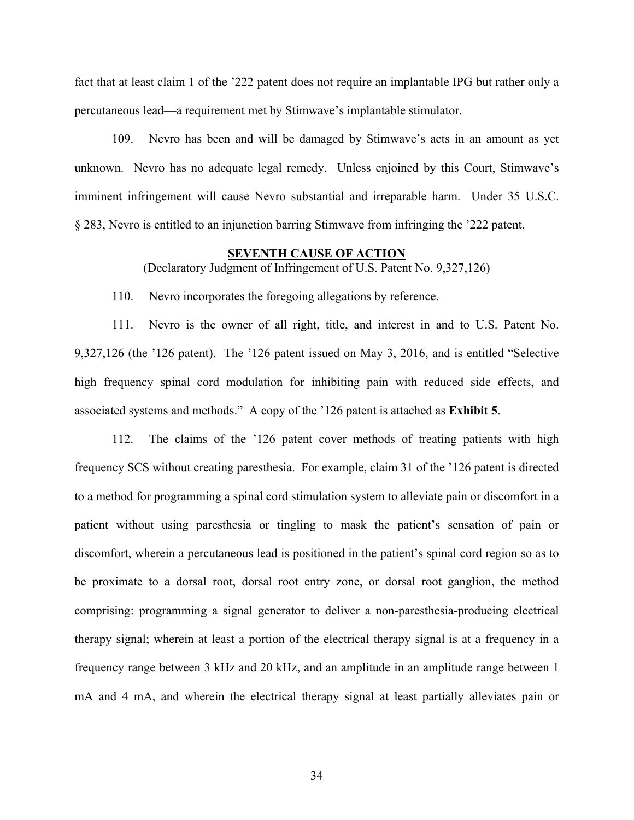fact that at least claim 1 of the '222 patent does not require an implantable IPG but rather only a percutaneous lead—a requirement met by Stimwave's implantable stimulator.

109. Nevro has been and will be damaged by Stimwave's acts in an amount as yet unknown. Nevro has no adequate legal remedy. Unless enjoined by this Court, Stimwave's imminent infringement will cause Nevro substantial and irreparable harm. Under 35 U.S.C. § 283, Nevro is entitled to an injunction barring Stimwave from infringing the '222 patent.

### **SEVENTH CAUSE OF ACTION**

(Declaratory Judgment of Infringement of U.S. Patent No. 9,327,126)

110. Nevro incorporates the foregoing allegations by reference.

111. Nevro is the owner of all right, title, and interest in and to U.S. Patent No. 9,327,126 (the '126 patent). The '126 patent issued on May 3, 2016, and is entitled "Selective high frequency spinal cord modulation for inhibiting pain with reduced side effects, and associated systems and methods." A copy of the '126 patent is attached as **Exhibit 5**.

112. The claims of the '126 patent cover methods of treating patients with high frequency SCS without creating paresthesia. For example, claim 31 of the '126 patent is directed to a method for programming a spinal cord stimulation system to alleviate pain or discomfort in a patient without using paresthesia or tingling to mask the patient's sensation of pain or discomfort, wherein a percutaneous lead is positioned in the patient's spinal cord region so as to be proximate to a dorsal root, dorsal root entry zone, or dorsal root ganglion, the method comprising: programming a signal generator to deliver a non-paresthesia-producing electrical therapy signal; wherein at least a portion of the electrical therapy signal is at a frequency in a frequency range between 3 kHz and 20 kHz, and an amplitude in an amplitude range between 1 mA and 4 mA, and wherein the electrical therapy signal at least partially alleviates pain or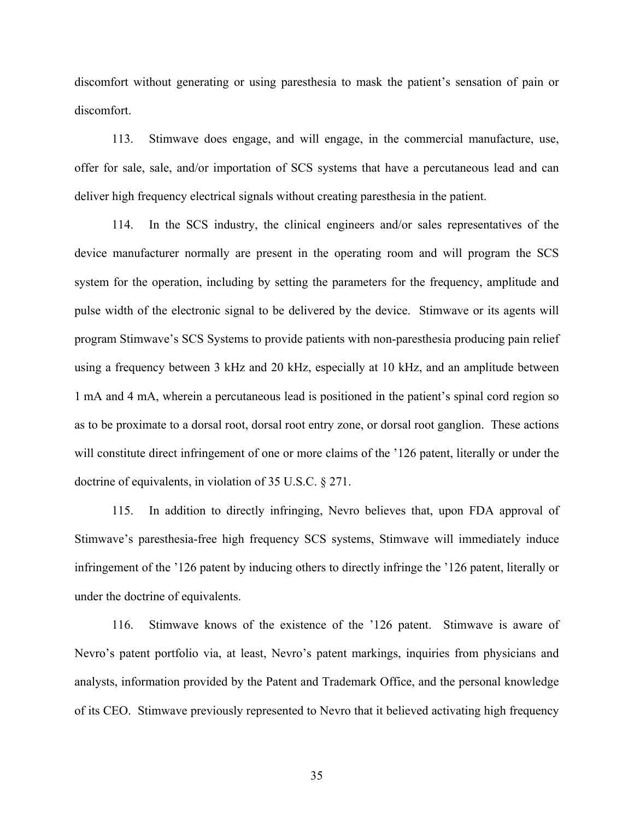discomfort without generating or using paresthesia to mask the patient's sensation of pain or discomfort.

113. Stimwave does engage, and will engage, in the commercial manufacture, use, offer for sale, sale, and/or importation of SCS systems that have a percutaneous lead and can deliver high frequency electrical signals without creating paresthesia in the patient.

114. In the SCS industry, the clinical engineers and/or sales representatives of the device manufacturer normally are present in the operating room and will program the SCS system for the operation, including by setting the parameters for the frequency, amplitude and pulse width of the electronic signal to be delivered by the device. Stimwave or its agents will program Stimwave's SCS Systems to provide patients with non-paresthesia producing pain relief using a frequency between 3 kHz and 20 kHz, especially at 10 kHz, and an amplitude between 1 mA and 4 mA, wherein a percutaneous lead is positioned in the patient's spinal cord region so as to be proximate to a dorsal root, dorsal root entry zone, or dorsal root ganglion. These actions will constitute direct infringement of one or more claims of the '126 patent, literally or under the doctrine of equivalents, in violation of 35 U.S.C. § 271.

115. In addition to directly infringing, Nevro believes that, upon FDA approval of Stimwave's paresthesia-free high frequency SCS systems, Stimwave will immediately induce infringement of the '126 patent by inducing others to directly infringe the '126 patent, literally or under the doctrine of equivalents.

116. Stimwave knows of the existence of the '126 patent. Stimwave is aware of Nevro's patent portfolio via, at least, Nevro's patent markings, inquiries from physicians and analysts, information provided by the Patent and Trademark Office, and the personal knowledge of its CEO. Stimwave previously represented to Nevro that it believed activating high frequency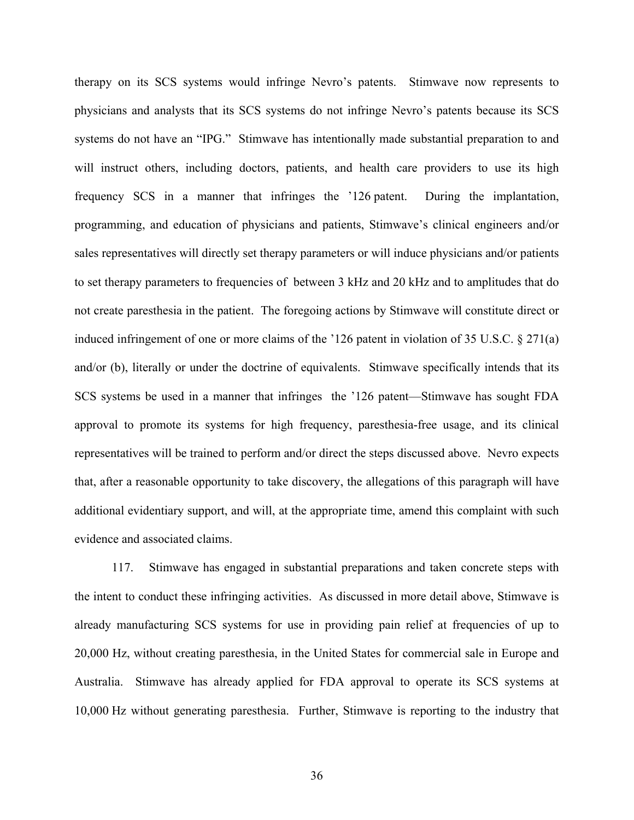therapy on its SCS systems would infringe Nevro's patents. Stimwave now represents to physicians and analysts that its SCS systems do not infringe Nevro's patents because its SCS systems do not have an "IPG." Stimwave has intentionally made substantial preparation to and will instruct others, including doctors, patients, and health care providers to use its high frequency SCS in a manner that infringes the '126 patent. During the implantation, programming, and education of physicians and patients, Stimwave's clinical engineers and/or sales representatives will directly set therapy parameters or will induce physicians and/or patients to set therapy parameters to frequencies of between 3 kHz and 20 kHz and to amplitudes that do not create paresthesia in the patient. The foregoing actions by Stimwave will constitute direct or induced infringement of one or more claims of the '126 patent in violation of 35 U.S.C. § 271(a) and/or (b), literally or under the doctrine of equivalents. Stimwave specifically intends that its SCS systems be used in a manner that infringes the '126 patent—Stimwave has sought FDA approval to promote its systems for high frequency, paresthesia-free usage, and its clinical representatives will be trained to perform and/or direct the steps discussed above. Nevro expects that, after a reasonable opportunity to take discovery, the allegations of this paragraph will have additional evidentiary support, and will, at the appropriate time, amend this complaint with such evidence and associated claims.

117. Stimwave has engaged in substantial preparations and taken concrete steps with the intent to conduct these infringing activities. As discussed in more detail above, Stimwave is already manufacturing SCS systems for use in providing pain relief at frequencies of up to 20,000 Hz, without creating paresthesia, in the United States for commercial sale in Europe and Australia. Stimwave has already applied for FDA approval to operate its SCS systems at 10,000 Hz without generating paresthesia. Further, Stimwave is reporting to the industry that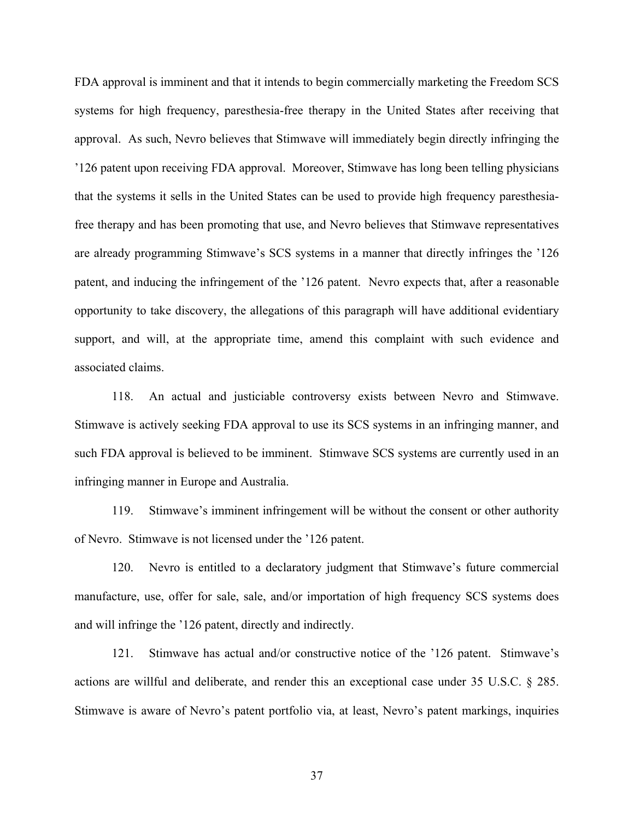FDA approval is imminent and that it intends to begin commercially marketing the Freedom SCS systems for high frequency, paresthesia-free therapy in the United States after receiving that approval. As such, Nevro believes that Stimwave will immediately begin directly infringing the '126 patent upon receiving FDA approval. Moreover, Stimwave has long been telling physicians that the systems it sells in the United States can be used to provide high frequency paresthesiafree therapy and has been promoting that use, and Nevro believes that Stimwave representatives are already programming Stimwave's SCS systems in a manner that directly infringes the '126 patent, and inducing the infringement of the '126 patent. Nevro expects that, after a reasonable opportunity to take discovery, the allegations of this paragraph will have additional evidentiary support, and will, at the appropriate time, amend this complaint with such evidence and associated claims.

118. An actual and justiciable controversy exists between Nevro and Stimwave. Stimwave is actively seeking FDA approval to use its SCS systems in an infringing manner, and such FDA approval is believed to be imminent. Stimwave SCS systems are currently used in an infringing manner in Europe and Australia.

119. Stimwave's imminent infringement will be without the consent or other authority of Nevro. Stimwave is not licensed under the '126 patent.

120. Nevro is entitled to a declaratory judgment that Stimwave's future commercial manufacture, use, offer for sale, sale, and/or importation of high frequency SCS systems does and will infringe the '126 patent, directly and indirectly.

121. Stimwave has actual and/or constructive notice of the '126 patent. Stimwave's actions are willful and deliberate, and render this an exceptional case under 35 U.S.C. § 285. Stimwave is aware of Nevro's patent portfolio via, at least, Nevro's patent markings, inquiries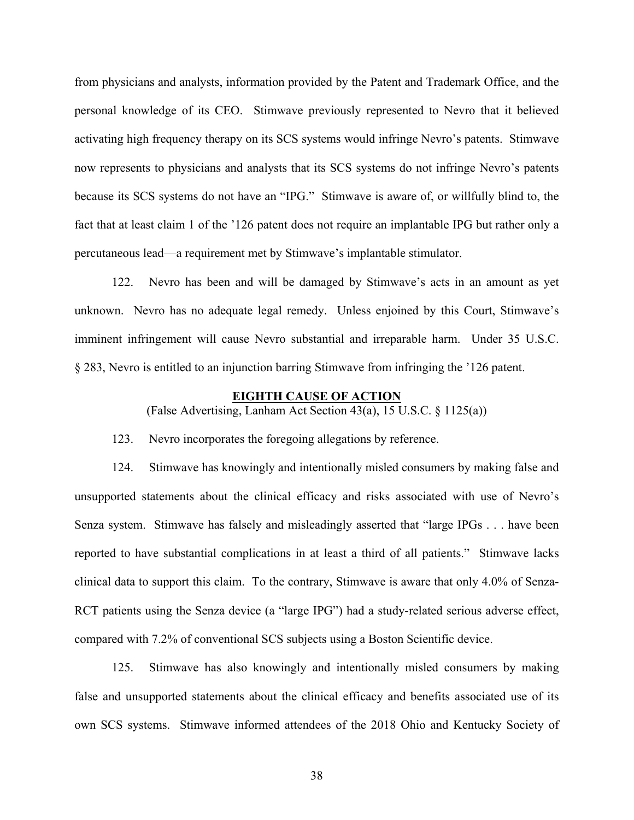from physicians and analysts, information provided by the Patent and Trademark Office, and the personal knowledge of its CEO. Stimwave previously represented to Nevro that it believed activating high frequency therapy on its SCS systems would infringe Nevro's patents. Stimwave now represents to physicians and analysts that its SCS systems do not infringe Nevro's patents because its SCS systems do not have an "IPG." Stimwave is aware of, or willfully blind to, the fact that at least claim 1 of the '126 patent does not require an implantable IPG but rather only a percutaneous lead—a requirement met by Stimwave's implantable stimulator.

122. Nevro has been and will be damaged by Stimwave's acts in an amount as yet unknown. Nevro has no adequate legal remedy. Unless enjoined by this Court, Stimwave's imminent infringement will cause Nevro substantial and irreparable harm. Under 35 U.S.C. § 283, Nevro is entitled to an injunction barring Stimwave from infringing the '126 patent.

### **EIGHTH CAUSE OF ACTION**

(False Advertising, Lanham Act Section 43(a), 15 U.S.C. § 1125(a))

123. Nevro incorporates the foregoing allegations by reference.

124. Stimwave has knowingly and intentionally misled consumers by making false and unsupported statements about the clinical efficacy and risks associated with use of Nevro's Senza system. Stimwave has falsely and misleadingly asserted that "large IPGs . . . have been reported to have substantial complications in at least a third of all patients." Stimwave lacks clinical data to support this claim. To the contrary, Stimwave is aware that only 4.0% of Senza-RCT patients using the Senza device (a "large IPG") had a study-related serious adverse effect, compared with 7.2% of conventional SCS subjects using a Boston Scientific device.

125. Stimwave has also knowingly and intentionally misled consumers by making false and unsupported statements about the clinical efficacy and benefits associated use of its own SCS systems. Stimwave informed attendees of the 2018 Ohio and Kentucky Society of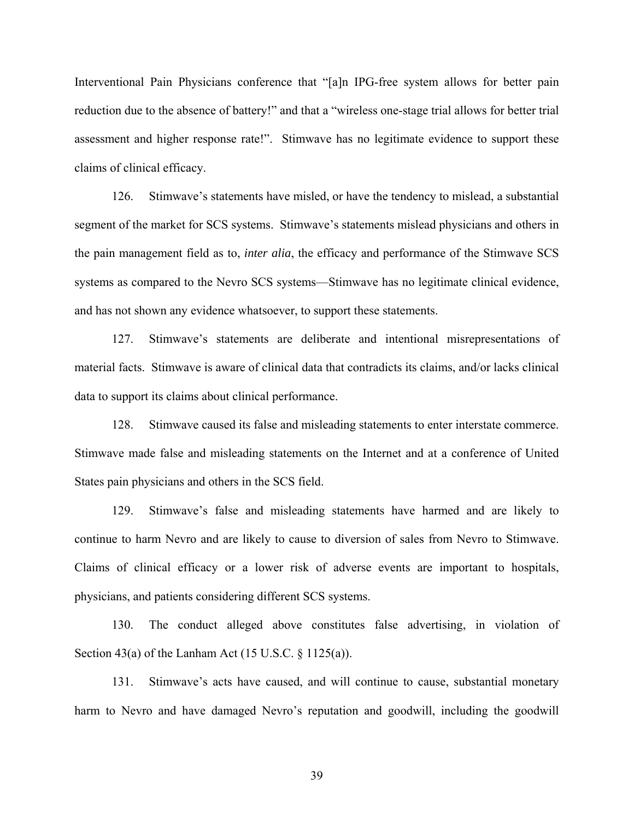Interventional Pain Physicians conference that "[a]n IPG-free system allows for better pain reduction due to the absence of battery!" and that a "wireless one-stage trial allows for better trial assessment and higher response rate!". Stimwave has no legitimate evidence to support these claims of clinical efficacy.

126. Stimwave's statements have misled, or have the tendency to mislead, a substantial segment of the market for SCS systems. Stimwave's statements mislead physicians and others in the pain management field as to, *inter alia*, the efficacy and performance of the Stimwave SCS systems as compared to the Nevro SCS systems—Stimwave has no legitimate clinical evidence, and has not shown any evidence whatsoever, to support these statements.

127. Stimwave's statements are deliberate and intentional misrepresentations of material facts. Stimwave is aware of clinical data that contradicts its claims, and/or lacks clinical data to support its claims about clinical performance.

128. Stimwave caused its false and misleading statements to enter interstate commerce. Stimwave made false and misleading statements on the Internet and at a conference of United States pain physicians and others in the SCS field.

129. Stimwave's false and misleading statements have harmed and are likely to continue to harm Nevro and are likely to cause to diversion of sales from Nevro to Stimwave. Claims of clinical efficacy or a lower risk of adverse events are important to hospitals, physicians, and patients considering different SCS systems.

130. The conduct alleged above constitutes false advertising, in violation of Section 43(a) of the Lanham Act  $(15 \text{ U.S.C.} \S 1125(a))$ .

131. Stimwave's acts have caused, and will continue to cause, substantial monetary harm to Nevro and have damaged Nevro's reputation and goodwill, including the goodwill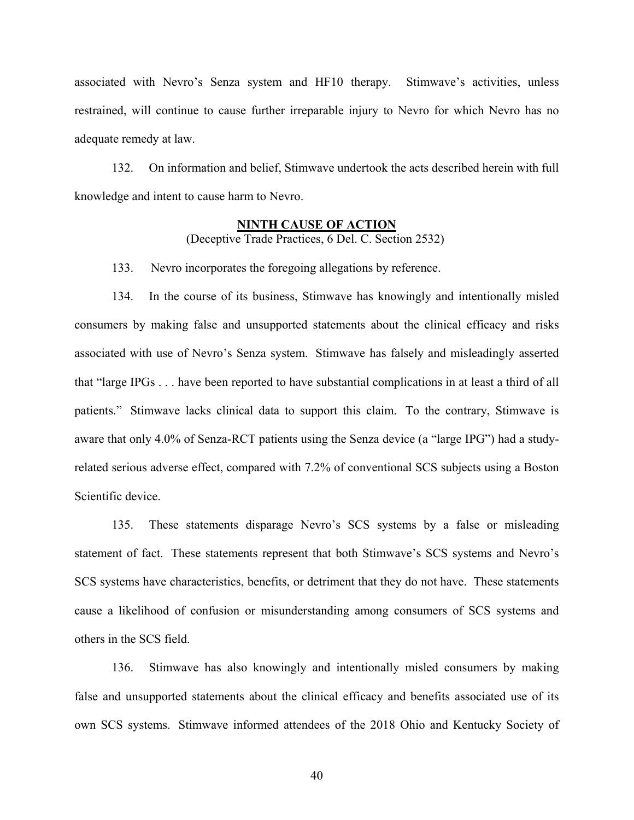associated with Nevro's Senza system and HF10 therapy. Stimwave's activities, unless restrained, will continue to cause further irreparable injury to Nevro for which Nevro has no adequate remedy at law.

132. On information and belief, Stimwave undertook the acts described herein with full knowledge and intent to cause harm to Nevro.

# **NINTH CAUSE OF ACTION** (Deceptive Trade Practices, 6 Del. C. Section 2532)

133. Nevro incorporates the foregoing allegations by reference.

134. In the course of its business, Stimwave has knowingly and intentionally misled consumers by making false and unsupported statements about the clinical efficacy and risks associated with use of Nevro's Senza system. Stimwave has falsely and misleadingly asserted that "large IPGs . . . have been reported to have substantial complications in at least a third of all patients." Stimwave lacks clinical data to support this claim. To the contrary, Stimwave is aware that only 4.0% of Senza-RCT patients using the Senza device (a "large IPG") had a studyrelated serious adverse effect, compared with 7.2% of conventional SCS subjects using a Boston Scientific device.

135. These statements disparage Nevro's SCS systems by a false or misleading statement of fact. These statements represent that both Stimwave's SCS systems and Nevro's SCS systems have characteristics, benefits, or detriment that they do not have. These statements cause a likelihood of confusion or misunderstanding among consumers of SCS systems and others in the SCS field.

136. Stimwave has also knowingly and intentionally misled consumers by making false and unsupported statements about the clinical efficacy and benefits associated use of its own SCS systems. Stimwave informed attendees of the 2018 Ohio and Kentucky Society of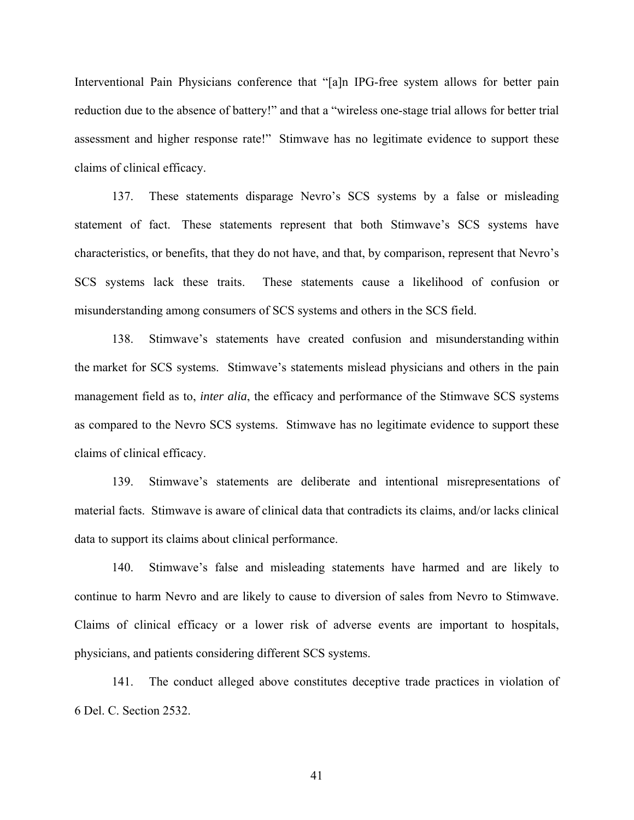Interventional Pain Physicians conference that "[a]n IPG-free system allows for better pain reduction due to the absence of battery!" and that a "wireless one-stage trial allows for better trial assessment and higher response rate!" Stimwave has no legitimate evidence to support these claims of clinical efficacy.

137. These statements disparage Nevro's SCS systems by a false or misleading statement of fact. These statements represent that both Stimwave's SCS systems have characteristics, or benefits, that they do not have, and that, by comparison, represent that Nevro's SCS systems lack these traits. These statements cause a likelihood of confusion or misunderstanding among consumers of SCS systems and others in the SCS field.

138. Stimwave's statements have created confusion and misunderstanding within the market for SCS systems. Stimwave's statements mislead physicians and others in the pain management field as to, *inter alia*, the efficacy and performance of the Stimwave SCS systems as compared to the Nevro SCS systems. Stimwave has no legitimate evidence to support these claims of clinical efficacy.

139. Stimwave's statements are deliberate and intentional misrepresentations of material facts. Stimwave is aware of clinical data that contradicts its claims, and/or lacks clinical data to support its claims about clinical performance.

140. Stimwave's false and misleading statements have harmed and are likely to continue to harm Nevro and are likely to cause to diversion of sales from Nevro to Stimwave. Claims of clinical efficacy or a lower risk of adverse events are important to hospitals, physicians, and patients considering different SCS systems.

141. The conduct alleged above constitutes deceptive trade practices in violation of 6 Del. C. Section 2532.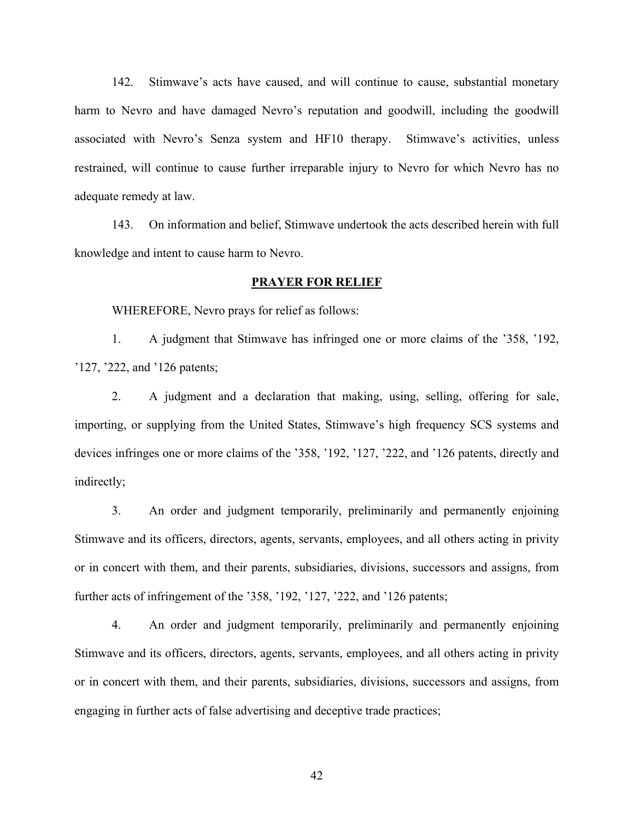142. Stimwave's acts have caused, and will continue to cause, substantial monetary harm to Nevro and have damaged Nevro's reputation and goodwill, including the goodwill associated with Nevro's Senza system and HF10 therapy. Stimwave's activities, unless restrained, will continue to cause further irreparable injury to Nevro for which Nevro has no adequate remedy at law.

143. On information and belief, Stimwave undertook the acts described herein with full knowledge and intent to cause harm to Nevro.

# **PRAYER FOR RELIEF**

WHEREFORE, Nevro prays for relief as follows:

1. A judgment that Stimwave has infringed one or more claims of the '358, '192, '127, '222, and '126 patents;

2. A judgment and a declaration that making, using, selling, offering for sale, importing, or supplying from the United States, Stimwave's high frequency SCS systems and devices infringes one or more claims of the '358, '192, '127, '222, and '126 patents, directly and indirectly;

3. An order and judgment temporarily, preliminarily and permanently enjoining Stimwave and its officers, directors, agents, servants, employees, and all others acting in privity or in concert with them, and their parents, subsidiaries, divisions, successors and assigns, from further acts of infringement of the '358, '192, '127, '222, and '126 patents;

4. An order and judgment temporarily, preliminarily and permanently enjoining Stimwave and its officers, directors, agents, servants, employees, and all others acting in privity or in concert with them, and their parents, subsidiaries, divisions, successors and assigns, from engaging in further acts of false advertising and deceptive trade practices;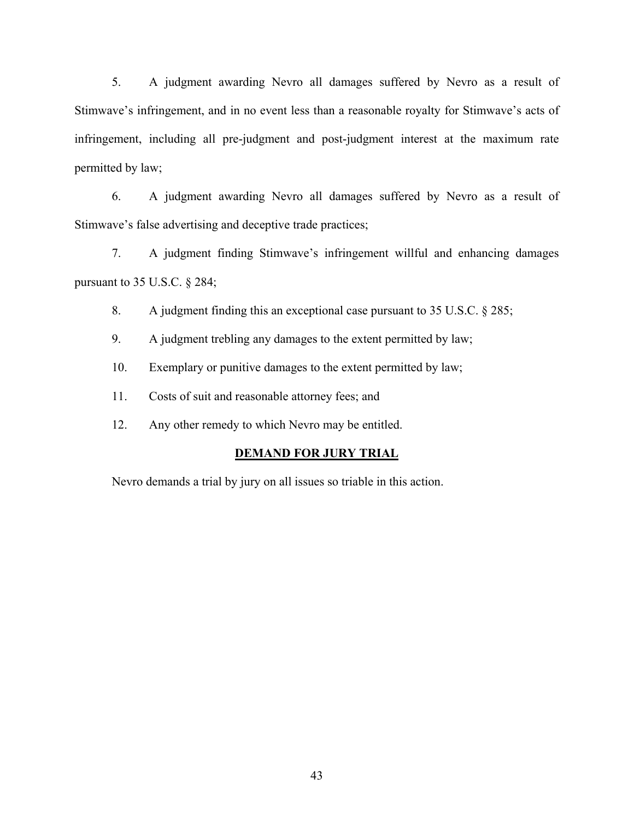5. A judgment awarding Nevro all damages suffered by Nevro as a result of Stimwave's infringement, and in no event less than a reasonable royalty for Stimwave's acts of infringement, including all pre-judgment and post-judgment interest at the maximum rate permitted by law;

6. A judgment awarding Nevro all damages suffered by Nevro as a result of Stimwave's false advertising and deceptive trade practices;

7. A judgment finding Stimwave's infringement willful and enhancing damages pursuant to 35 U.S.C. § 284;

8. A judgment finding this an exceptional case pursuant to 35 U.S.C. § 285;

9. A judgment trebling any damages to the extent permitted by law;

10. Exemplary or punitive damages to the extent permitted by law;

11. Costs of suit and reasonable attorney fees; and

12. Any other remedy to which Nevro may be entitled.

## **DEMAND FOR JURY TRIAL**

Nevro demands a trial by jury on all issues so triable in this action.